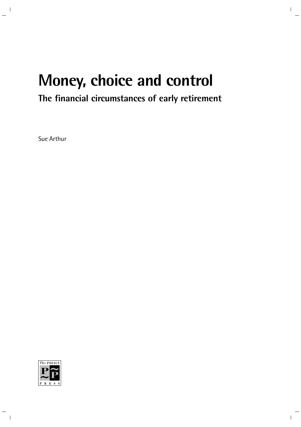# **Money, choice and control**

# **The financial circumstances of early retirement**

Sue Arthur

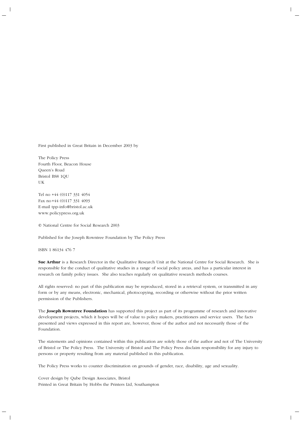First published in Great Britain in December 2003 by

The Policy Press Fourth Floor, Beacon House Queen's Road Bristol BS8 1QU UK

Tel no +44 (0)117 331 4054 Fax no+44 (0)117 331 4093 E-mail tpp-info@bristol.ac.uk www.policypress.org.uk

© National Centre for Social Research 2003

Published for the Joseph Rowntree Foundation by The Policy Press

ISBN 1 86134 476 7

**Sue Arthur** is a Research Director in the Qualitative Research Unit at the National Centre for Social Research. She is responsible for the conduct of qualitative studies in a range of social policy areas, and has a particular interest in research on family policy issues. She also teaches regularly on qualitative research methods courses.

All rights reserved: no part of this publication may be reproduced, stored in a retrieval system, or transmitted in any form or by any means, electronic, mechanical, photocopying, recording or otherwise without the prior written permission of the Publishers.

The **Joseph Rowntree Foundation** has supported this project as part of its programme of research and innovative development projects, which it hopes will be of value to policy makers, practitioners and service users. The facts presented and views expressed in this report are, however, those of the author and not necessarily those of the Foundation.

The statements and opinions contained within this publication are solely those of the author and not of The University of Bristol or The Policy Press. The University of Bristol and The Policy Press disclaim responsibility for any injury to persons or property resulting from any material published in this publication.

The Policy Press works to counter discrimination on grounds of gender, race, disability, age and sexuality.

Cover design by Qube Design Associates, Bristol Printed in Great Britain by Hobbs the Printers Ltd, Southampton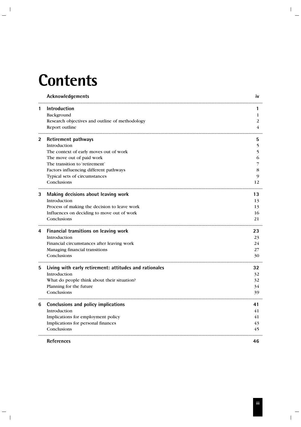# **Contents**

|   | Acknowledgements                                                                                                                                                                                                                              | IV                                |
|---|-----------------------------------------------------------------------------------------------------------------------------------------------------------------------------------------------------------------------------------------------|-----------------------------------|
| 1 | <b>Introduction</b><br>Background<br>Research objectives and outline of methodology<br>Report outline                                                                                                                                         | 1<br>2<br>4                       |
| 2 | <b>Retirement pathways</b><br>Introduction<br>The context of early moves out of work<br>The move out of paid work<br>The transition to 'retirement'<br>Factors influencing different pathways<br>Typical sets of circumstances<br>Conclusions | 5<br>5.<br>5<br>6<br>8<br>9<br>12 |
| 3 | Making decisions about leaving work<br>Introduction<br>Process of making the decision to leave work<br>Influences on deciding to move out of work<br>Conclusions                                                                              | 13<br>13<br>13<br>16<br>21        |
| 4 | Financial transitions on leaving work<br>Introduction<br>Financial circumstances after leaving work<br>Managing financial transitions<br>Conclusions                                                                                          | 23<br>23<br>24<br>27<br>30        |
| 5 | Living with early retirement: attitudes and rationales<br>Introduction<br>What do people think about their situation?<br>Planning for the future<br>Conclusions                                                                               | 32<br>32<br>32<br>34<br>39        |
| 6 | Conclusions and policy implications<br>Introduction<br>Implications for employment policy<br>Implications for personal finances<br>Conclusions                                                                                                | 41<br>41<br>41<br>43<br>45        |
|   | <b>References</b>                                                                                                                                                                                                                             | 46                                |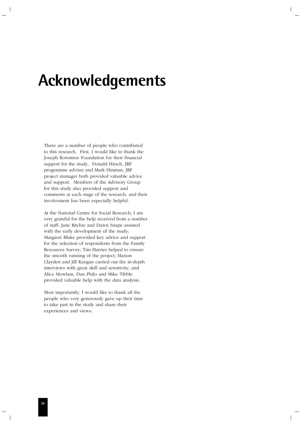# **Acknowledgements**

There are a number of people who contributed to this research. First, I would like to thank the Joseph Rowntree Foundation for their financial support for the study. Donald Hirsch, JRF programme adviser and Mark Hinman, JRF project manager both provided valuable advice and support. Members of the Advisory Group for this study also provided support and comments at each stage of the research, and their involvement has been especially helpful.

At the National Centre for Social Research, I am very grateful for the help received from a number of staff: Jane Ritchie and Dawn Snape assisted with the early development of the study; Margaret Blake provided key advice and support for the selection of respondents from the Family Resources Survey; Tim Harries helped to ensure the smooth running of the project; Marion Clayden and Jill Keegan carried out the in-depth interviews with great skill and sensitivity; and Alice Mowlam, Dan Philo and Mike Tibble provided valuable help with the data analysis.

Most importantly, I would like to thank all the people who very generously gave up their time to take part in the study and share their experiences and views.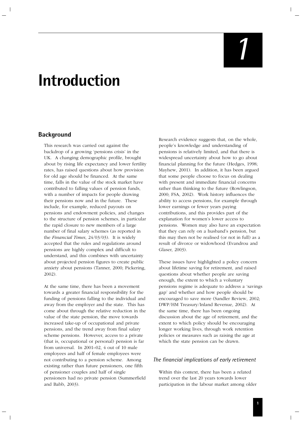# *1*

# **Introduction**

# **Background**

This research was carried out against the backdrop of a growing 'pensions crisis' in the UK. A changing demographic profile, brought about by rising life expectancy and lower fertility rates, has raised questions about how provision for old age should be financed. At the same time, falls in the value of the stock market have contributed to falling values of pension funds, with a number of impacts for people drawing their pensions now and in the future. These include, for example, reduced payouts on pensions and endowment policies, and changes to the structure of pension schemes, in particular the rapid closure to new members of a large number of final salary schemes (as reported in the *Financial Times*, 24/03/03). It is widely accepted that the rules and regulations around pensions are highly complex and difficult to understand, and this combines with uncertainty about projected pension figures to create public anxiety about pensions (Tanner, 2000; Pickering, 2002).

At the same time, there has been a movement towards a greater financial responsibility for the funding of pensions falling to the individual and away from the employer and the state. This has come about through the relative reduction in the value of the state pension, the move towards increased take-up of occupational and private pensions, and the trend away from final salary scheme pensions. However, access to a private (that is, occupational or personal) pension is far from universal. In 2001–02, 4 out of 10 male employees and half of female employees were not contributing to a pension scheme. Among existing rather than future pensioners, one fifth of pensioner couples and half of single pensioners had no private pension (Summerfield and Babb, 2003).

Research evidence suggests that, on the whole, people's knowledge and understanding of pensions is relatively limited, and that there is widespread uncertainty about how to go about financial planning for the future (Hedges, 1998; Mayhew, 2001). In addition, it has been argued that some people choose to focus on dealing with present and immediate financial concerns rather than thinking to the future (Rowlingson, 2000; FSA, 2002). Work history influences the ability to access pensions, for example through lower earnings or fewer years paying contributions, and this provides part of the explanation for women's lower access to pensions. Women may also have an expectation that they can rely on a husband's pension, but this may then not be realised (or not in full) as a result of divorce or widowhood (Evandrou and Glaser, 2003).

These issues have highlighted a policy concern about lifetime saving for retirement, and raised questions about whether people are saving enough, the extent to which a voluntary pensions regime is adequate to address a 'savings gap' and whether and how people should be encouraged to save more (Sandler Review, 2002; DWP/HM Treasury/Inland Revenue, 2002). At the same time, there has been ongoing discussion about the age of retirement, and the extent to which policy should be encouraging longer working lives, through work retention policies or measures such as raising the age at which the state pension can be drawn.

# *The financial implications of early retirement*

Within this context, there has been a related trend over the last 20 years towards lower participation in the labour market among older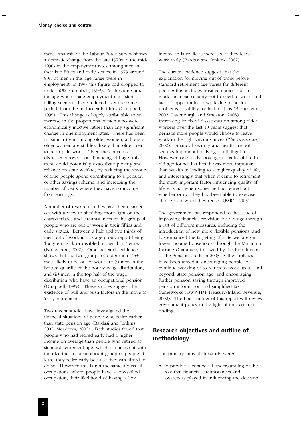men. Analysis of the Labour Force Survey shows a dramatic change from the late 1970s to the mid-1990s in the employment rates among men in their late fifties and early sixties: in 1979 around 80% of men in this age range were in employment; in 1997 this figure had dropped to under 60% (Campbell, 1999). At the same time, the age where male employment rates start falling seems to have reduced over the same period, from the mid to early fifties (Campbell, 1999). This change is largely attributable to an increase in the proportions of men who were economically inactive rather than any significant change in unemployment rates. There has been no similar trend among older women, although older women are still less likely than older men to be in paid work. Given the concerns discussed above about financing old age, this trend could potentially exacerbate poverty and reliance on state welfare, by reducing the amount of time people spend contributing to a pension or other savings scheme, and increasing the number of years where they have no income from earnings.

A number of research studies have been carried out with a view to shedding more light on the characteristics and circumstances of the group of people who are out of work in their fifties and early sixties. Between a half and two thirds of men out of work in this age group report being 'long-term sick or disabled' rather than 'retired' (Banks et al, 2002). Other research evidence shows that the two groups of older men  $(45+)$ most likely to be out of work are (i) men in the bottom quartile of the hourly wage distribution, and (ii) men in the top half of the wage distribution who have an occupational pension (Campbell, 1999). These studies suggest the existence of pull and push factors in the move to 'early retirement'.

Two recent studies have investigated the financial situations of people who retire earlier than state pension age (Bardasi and Jenkins, 2002; Meadows, 2002). Both studies found that people who had retired early had a higher income on average than people who retired at standard retirement age, which is consistent with the idea that for a significant group of people at least, they retire early because they can afford to do so. However, this is not the same across all occupations: where people have a low-skilled occupation, their likelihood of having a low

income in later life is increased if they leave work early (Bardasi and Jenkins, 2002).

The current evidence suggests that the explanation for moving out of work before standard retirement age varies for different people: this includes positive choices not to work, financial security not to need to work, and lack of opportunity to work due to health problems, disability, or lack of jobs (Barnes et al, 2002; Lissenburgh and Smeaton, 2003). Increasing levels of dissatisfaction among older workers over the last 10 years suggest that perhaps more people would choose to leave work in the right circumstances (*The Guardian*, 2002). Financial security and health are both seen as important for living a fulfilling life. However, one study looking at quality of life in old age found that health was more important than wealth in leading to a higher quality of life, and interestingly that when it came to retirement, the most important factor influencing quality of life was not when someone had retired but whether or not they had been able to exercise choice over when they retired (ESRC, 2003).

The government has responded to the issue of improving financial provision for old age through a raft of different measures, including the introduction of new more flexible pensions, and has enhanced the targeting of state welfare on lower income households, through the Minimum Income Guarantee, followed by the introduction of the Pension Credit in 2003. Other policies have been aimed at encouraging people to continue working or to return to work up to, and beyond, state pension age, and encouraging further pension saving through improved pension information and simplified tax frameworks (DWP/HM Treasury/Inland Revenue, 2002). The final chapter of this report will review government policy in the light of the research findings.

# **Research objectives and outline of methodology**

The primary aims of the study were:

• to provide a contextual understanding of the role that financial circumstances and awareness played in influencing the decision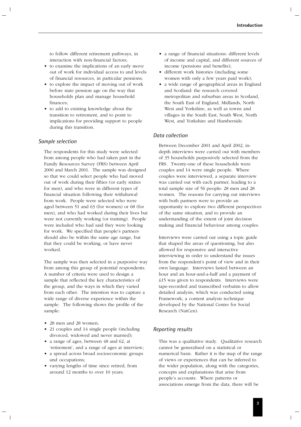to follow different retirement pathways, in interaction with non-financial factors;

- to examine the implications of an early move out of work for individual access to and levels of financial resources, in particular pensions;
- to explore the impact of moving out of work before state pension age on the way that households plan and manage household finances;
- to add to existing knowledge about the transition to retirement, and to point to implications for providing support to people during this transition.

#### *Sample selection*

The respondents for this study were selected from among people who had taken part in the Family Resources Survey (FRS) between April 2000 and March 2001. The sample was designed so that we could select people who had moved out of work during their fifties (or early sixties for men), and who were in different types of financial situation following their withdrawal from work. People were selected who were aged between 51 and 63 (for women) or 68 (for men), and who had worked during their lives but were not currently working (or training). People were included who had said they were looking for work. We specified that people's partners should also be within the same age range, but that they could be working, or have never worked.

The sample was then selected in a purposive way from among this group of potential respondents. A number of criteria were used to design a sample that reflected the key characteristics of the group, and the ways in which they varied from each other. The intention was to capture a wide range of diverse experience within the sample. The following shows the profile of the sample:

- 28 men and 28 women;
- 21 couples and 14 single people (including divorced, widowed and never married);
- a range of ages, between 48 and 62, at 'retirement', and a range of ages at interview;
- a spread across broad socioeconomic groups and occupations;
- varying lengths of time since retired, from around 12 months to over 10 years;
- a range of financial situations: different levels of income and capital, and different sources of income (pensions and benefits);
- different work histories (including some women with only a few years paid work);
- a wide range of geographical areas in England and Scotland: the research covered metropolitan and suburban areas in Scotland, the South East of England, Midlands, North West and Yorkshire, as well as towns and villages in the South East, South West, North West, and Yorkshire and Humberside.

### *Data collection*

Between December 2001 and April 2002, indepth interviews were carried out with members of 35 households purposively selected from the FRS. Twenty-one of these households were couples and 14 were single people. Where couples were interviewed, a separate interview was carried out with each partner, leading to a total sample size of 56 people: 28 men and 28 women. The reasons for carrying out interviews with both partners were to provide an opportunity to explore two different perspectives of the same situation, and to provide an understanding of the extent of joint decision making and financial behaviour among couples.

Interviews were carried out using a topic guide that shaped the areas of questioning, but also allowed for responsive and interactive interviewing in order to understand the issues from the respondent's point of view and in their own language. Interviews lasted between an hour and an hour-and-a-half and a payment of £15 was given to respondents. Interviews were tape-recorded and transcribed verbatim to allow detailed analysis, which was conducted using Framework, a content analysis technique developed by the National Centre for Social Research (NatCen).

### *Reporting results*

This was a qualitative study. Qualitative research cannot be generalised on a statistical or numerical basis. Rather it is the map of the range of views or experiences that can be inferred to the wider population, along with the categories, concepts and explanations that arise from people's accounts. Where patterns or associations emerge from the data, there will be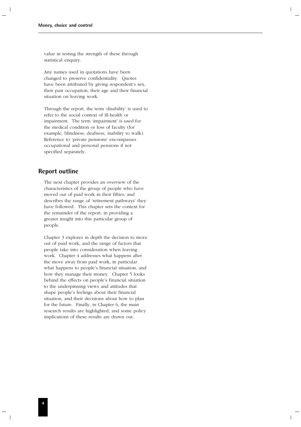value in testing the strength of these through statistical enquiry.

Any names used in quotations have been changed to preserve confidentiality. Quotes have been attributed by giving respondent's sex, their past occupation, their age and their financial situation on leaving work.

Through the report, the term 'disability' is used to refer to the social context of ill-health or impairment. The term 'impairment' is used for the medical condition or loss of faculty (for example, blindness, deafness, inability to walk). Reference to 'private pensions' encompasses occupational and personal pensions if not specified separately.

# **Report outline**

The next chapter provides an overview of the characteristics of the group of people who have moved out of paid work in their fifties, and describes the range of 'retirement pathways' they have followed. This chapter sets the context for the remainder of the report, in providing a greater insight into this particular group of people.

Chapter 3 explores in depth the decision to move out of paid work, and the range of factors that people take into consideration when leaving work. Chapter 4 addresses what happens after the move away from paid work, in particular what happens to people's financial situation, and how they manage their money. Chapter 5 looks behind the effects on people's financial situation to the underpinning views and attitudes that shape people's feelings about their financial situation, and their decisions about how to plan for the future. Finally, in Chapter 6, the main research results are highlighted, and some policy implications of these results are drawn out.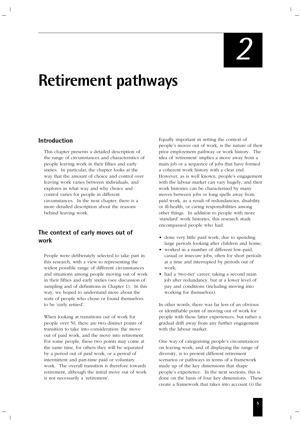*2*

# **Retirement pathways**

# **Introduction**

This chapter presents a detailed description of the range of circumstances and characteristics of people leaving work in their fifties and early sixties. In particular, the chapter looks at the way that the amount of choice and control over leaving work varies between individuals, and explores in what way and why choice and control varies for people in different circumstances. In the next chapter, there is a more detailed description about the reasons behind leaving work.

# **The context of early moves out of work**

People were deliberately selected to take part in this research, with a view to representing the widest possible range of different circumstances and situations among people moving out of work in their fifties and early sixties (see discussion of sampling and of definitions in Chapter 1). In this way, we hoped to understand more about the sorts of people who chose or found themselves to be 'early retired'.

When looking at transitions out of work for people over 50, there are two distinct points of transition to take into consideration: the move out of paid work, and the move into retirement. For some people, these two points may come at the same time, for others they will be separated by a period out of paid work, or a period of intermittent and part-time paid or voluntary work. The overall transition is therefore towards retirement, although the initial move out of work is not necessarily a 'retirement'.

Equally important in setting the context of people's moves out of work, is the nature of their prior employment pathway or work history. The idea of 'retirement' implies a move away from a main job or a sequence of jobs that have formed a coherent work history with a clear end. However, as is well known, people's engagement with the labour market can vary hugely, and their work histories can be characterised by many moves between jobs or long spells away from paid work, as a result of redundancies, disability or ill-health, or caring responsibilities among other things. In addition to people with more 'standard' work histories, this research study encompassed people who had:

- done very little paid work, due to spending large periods looking after children and home;
- worked in a number of different low-paid, casual or insecure jobs, often for short periods at a time and interrupted by periods out of work;
- had a 'two-tier' career, taking a second main job after redundancy, but at a lower level of pay and conditions (including moving into working for themselves).

In other words, there was far less of an obvious or identifiable point of moving out of work for people with these latter experiences, but rather a gradual drift away from any further engagement with the labour market.

One way of categorising people's circumstances on leaving work, and of displaying the range of diversity, is to present different retirement scenarios or pathways in terms of a framework made up of the key dimensions that shape people's experience. In the next sections, this is done on the basis of four key dimensions. These create a framework that takes into account (i) the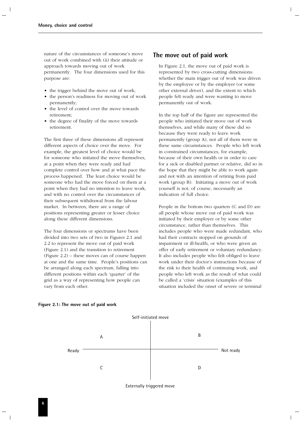nature of the circumstances of someone's move out of work combined with (ii) their attitude or approach towards moving out of work permanently. The four dimensions used for this purpose are:

- the trigger behind the move out of work;
- the person's readiness for moving out of work permanently;
- the level of control over the move towards retirement;
- the degree of finality of the move towards retirement.

The first three of these dimensions all represent different aspects of choice over the move. For example, the greatest level of choice would be for someone who initiated the move themselves, at a point when they were ready and had complete control over how and at what pace the process happened. The least choice would be someone who had the move forced on them at a point when they had no intention to leave work, and with no control over the circumstances of their subsequent withdrawal from the labour market. In between, there are a range of positions representing greater or lesser choice along these different dimensions.

The four dimensions or spectrums have been divided into two sets of two in Figures 2.1 and 2.2 to represent the move out of paid work (Figure 2.1) and the transition to retirement (Figure 2.2) – these moves can of course happen at one and the same time. People's positions can be arranged along each spectrum, falling into different positions within each 'quarter' of the grid as a way of representing how people can vary from each other.

# **The move out of paid work**

In Figure 2.1, the move out of paid work is represented by two cross-cutting dimensions: whether the main trigger out of work was driven by the employee or by the employer (or some other external driver), and the extent to which people felt ready and were wanting to move permanently out of work.

In the top half of the figure are represented the people who initiated their move out of work themselves, and while many of these did so because they were ready to leave work permanently (group A), not all of them were in these same circumstances. People who left work in constrained circumstances, for example, because of their own health or in order to care for a sick or disabled partner or relative, did so in the hope that they might be able to work again and not with an intention of retiring from paid work (group B). Initiating a move out of work yourself is not, of course, necessarily an indication of full choice.

People in the bottom two quarters (C and D) are all people whose move out of paid work was initiated by their employer or by some other circumstance, rather than themselves. This includes people who were made redundant, who had their contracts stopped on grounds of impairment or ill-health, or who were given an offer of early retirement or voluntary redundancy. It also includes people who felt obliged to leave work under their doctor's instructions because of the risk to their health of continuing work, and people who left work as the result of what could be called a 'crisis' situation (examples of this situation included the onset of severe or terminal



#### **Figure 2.1: The move out of paid work**

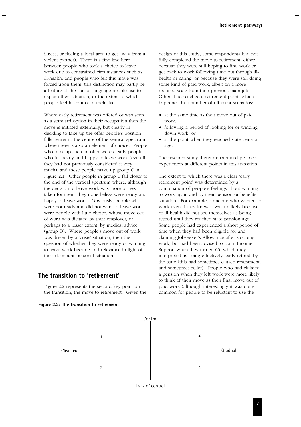illness, or fleeing a local area to get away from a violent partner). There is a fine line here between people who took a choice to leave work due to constrained circumstances such as ill-health, and people who felt this move was forced upon them; this distinction may partly be a feature of the sort of language people use to explain their situation, or the extent to which people feel in control of their lives.

Where early retirement was offered or was seen as a standard option in their occupation then the move is initiated externally, but clearly in deciding to take up the offer people's position falls nearer to the centre of the vertical spectrum where there is also an element of choice. People who took up such an offer were clearly people who felt ready and happy to leave work (even if they had not previously considered it very much), and these people make up group C in Figure 2.1. Other people in group C fall closer to the end of the vertical spectrum where, although the decision to leave work was more or less taken for them, they nonetheless were ready and happy to leave work. Obviously, people who were not ready and did not want to leave work were people with little choice, whose move out of work was dictated by their employer, or perhaps to a lesser extent, by medical advice (group D). Where people's move out of work was driven by a 'crisis' situation, then the question of whether they were ready or wanting to leave work became an irrelevance in light of their dominant personal situation.

# **The transition to 'retirement'**

Figure 2.2 represents the second key point on the transition, the move to retirement. Given the



design of this study, some respondents had not fully completed the move to retirement, either because they were still hoping to find work or get back to work following time out through illhealth or caring, or because they were still doing some kind of paid work, albeit on a more reduced scale from their previous main job. Others had reached a retirement point, which happened in a number of different scenarios:

- at the same time as their move out of paid work;
- following a period of looking for or winding down work; or
- at the point when they reached state pension age.

The research study therefore captured people's experiences at different points in this transition.

The extent to which there was a clear 'early retirement point' was determined by a combination of people's feelings about wanting to work again and by their pension or benefits situation. For example, someone who wanted to work even if they knew it was unlikely because of ill-health did not see themselves as being retired until they reached state pension age. Some people had experienced a short period of time when they had been eligible for and claiming Jobseeker's Allowance after stopping work, but had been advised to claim Income Support when they turned 60, which they interpreted as being effectively 'early retired' by the state (this had sometimes caused resentment, and sometimes relief). People who had claimed a pension when they left work were more likely to think of their move as their final move out of paid work (although interestingly it was quite common for people to be reluctant to use the



Lack of control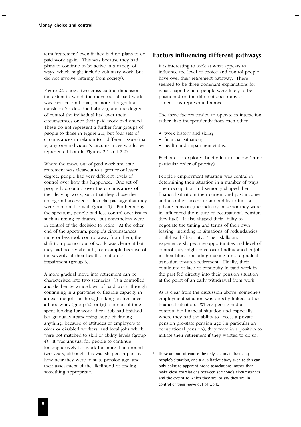term 'retirement' even if they had no plans to do paid work again. This was because they had plans to continue to be active in a variety of ways, which might include voluntary work, but did not involve 'retiring' from society).

Figure 2.2 shows two cross-cutting dimensions: the extent to which the move out of paid work was clear-cut and final, or more of a gradual transition (as described above), and the degree of control the individual had over their circumstances once their paid work had ended. These do not represent a further four groups of people to those in Figure 2.1, but four sets of circumstances in relation to a different issue (that is, any one individual's circumstances would be represented both in Figures 2.1 and 2.2).

Where the move out of paid work and into retirement was clear-cut to a greater or lesser degree, people had very different levels of control over how this happened. One set of people had control over the circumstances of their leaving work, such that they chose the timing and accessed a financial package that they were comfortable with (group 1). Further along the spectrum, people had less control over issues such as timing or finance, but nonetheless were in control of the decision to retire. At the other end of the spectrum, people's circumstances more or less took control away from them, their shift to a position out of work was clear-cut but they had no say about it, for example because of the severity of their health situation or impairment (group 3).

A more gradual move into retirement can be characterised into two scenarios: (i) a controlled and deliberate wind-down of paid work, through continuing in a part-time or flexible capacity in an existing job, or through taking on freelance, ad hoc work (group 2), or (ii) a period of time spent looking for work after a job had finished but gradually abandoning hope of finding anything, because of attitudes of employers to older or disabled workers, and local jobs which were not matched to skill or ability levels (group 4). It was unusual for people to continue looking actively for work for more than around two years, although this was shaped in part by how near they were to state pension age, and their assessment of the likelihood of finding something appropriate.

# **Factors influencing different pathways**

It is interesting to look at what appears to influence the level of choice and control people have over their retirement pathway. There seemed to be three dominant explanations for what shaped where people were likely to be positioned on the different spectrums or dimensions represented above<sup>1</sup>.

The three factors tended to operate in interaction rather than independently from each other:

- work history and skills;
- financial situation;
- health and impairment status.

Each area is explored briefly in turn below (in no particular order of priority).

People's employment situation was central in determining their situation in a number of ways. Their occupation and seniority shaped their financial situation: their current and past income, and also their access to and ability to fund a private pension (the industry or sector they were in influenced the nature of occupational pension they had). It also shaped their ability to negotiate the timing and terms of their own leaving, including in situations of redundancies or ill-health/disability. Their skills and experience shaped the opportunities and level of control they might have over finding another job in their fifties, including making a more gradual transition towards retirement. Finally, their continuity or lack of continuity in paid work in the past fed directly into their pension situation at the point of an early withdrawal from work.

As is clear from the discussion above, someone's employment situation was directly linked to their financial situation. Where people had a comfortable financial situation and especially where they had the ability to access a private pension pre-state pension age (in particular an occupational pension), they were in a position to initiate their retirement if they wanted to do so,

These are not of course the only factors influencing people's situation, and a qualitative study such as this can only point to apparent broad associations, rather than make clear correlations between someone's circumstances and the extent to which they are, or say they are, in control of their move out of work.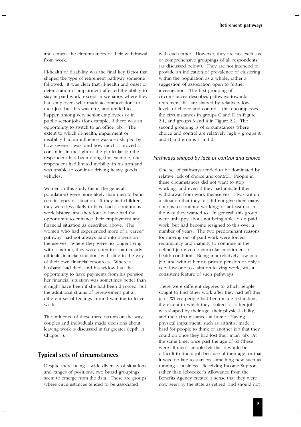and control the circumstances of their withdrawal from work.

Ill-health or disability was the final key factor that shaped the type of retirement pathway someone followed. It was clear that ill-health and onset or deterioration of impairment affected the ability to stay in paid work, except in scenarios where they had employers who made accommodations to their job, but this was rare, and tended to happen among very senior employees or in public sector jobs (for example, if there was an opportunity to switch to an office job). The extent to which ill-health, impairment or disability had an influence was also shaped by how severe it was, and how much it proved a constraint in the light of the particular job the respondent had been doing (for example, one respondent had limited mobility in his arm and was unable to continue driving heavy goods vehicles).

Women in this study (as in the general population) were more likely than men to be in certain types of situation. If they had children, they were less likely to have had a continuous work history, and therefore to have had the opportunity to enhance their employment and financial situation as described above. The women who had experienced more of a 'career' pathway, had not always paid into a pension themselves. Where they were no longer living with a partner, they were often in a particularly difficult financial situation, with little in the way of their own financial resources. Where a husband had died, and his widow had the opportunity to have payments from his pension, her financial situation was sometimes better than it might have been if she had been divorced, but the additional strains of bereavement put a different set of feelings around wanting to leave work.

The influence of these three factors on the way couples and individuals made decisions about leaving work is discussed in far greater depth in Chapter 3.

# **Typical sets of circumstances**

Despite there being a wide diversity of situations and ranges of positions, two broad groupings seem to emerge from the data. These are groups where circumstances tended to be associated

with each other. However, they are not exclusive or comprehensive groupings of all respondents (as discussed below). They are not intended to provide an indication of prevalence of clustering within the population as a whole, rather a suggestion of association open to further investigation. The first grouping of circumstances describes pathways towards retirement that are shaped by relatively low levels of choice and control – this encompasses the circumstances in groups C and D in Figure 2.1, and groups 3 and 4 in Figure 2.2. The second grouping is of circumstances where choice and control are relatively high – groups A and B and groups 1 and 2.

#### *Pathways shaped by lack of control and choice*

One set of pathways tended to be dominated by relative lack of choice and control. People in these circumstances did not want to stop working, and even if they had initiated their withdrawal from work themselves, it was within a situation that they felt did not give them many options to continue working, or at least not in the way they wanted to. In general, this group were unhappy about not being able to do paid work, but had become resigned to this over a number of years. The two predominant reasons for moving out of paid work were forced redundancy and inability to continue in the defined job given a particular impairment or health condition. Being in a relatively low-paid job, and with either no private pension or only a very low one to claim on leaving work, was a consistent feature of such pathways.

There were different degrees to which people sought to find other work after they had left their job. Where people had been made redundant, the extent to which they looked for other jobs was shaped by their age, their physical ability, and their circumstances at home. Having a physical impairment, such as arthritis, made it hard for people to think of another job that they could do once they had lost their main job. At the same time, once past the age of 60 (these were all men), people felt that it would be difficult to find a job because of their age, or that it was too late to start on something new such as running a business. Receiving Income Support rather than Jobseeker's Allowance from the Benefits Agency created a sense that they were now seen by the state as retired, and should not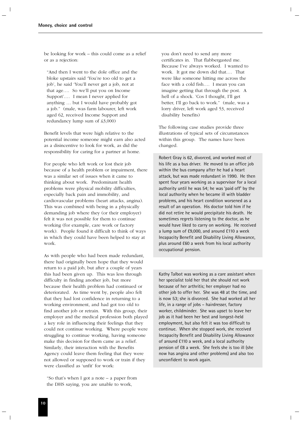be looking for work – this could come as a relief or as a rejection:

"And then I went to the dole office and the bloke upstairs said 'You're too old to get a job', he said 'You'll never get a job, not at that age…. So we'll put you on Income Support'.… I mean I never applied for anything … but I would have probably got a job." (male, was farm labourer, left work aged 62, received Income Support and redundancy lump sum of £3,000)

Benefit levels that were high relative to the potential income someone might earn also acted as a disincentive to look for work, as did the responsibility for caring for a partner at home.

For people who left work or lost their job because of a health problem or impairment, there was a similar set of issues when it came to thinking about work. Predominant health problems were physical mobility difficulties, especially back pain and immobility, and cardiovascular problems (heart attacks, angina). This was combined with being in a physically demanding job where they (or their employer) felt it was not possible for them to continue working (for example, care work or factory work). People found it difficult to think of ways in which they could have been helped to stay at work.

As with people who had been made redundant, there had originally been hope that they would return to a paid job, but after a couple of years this had been given up. This was less through difficulty in finding another job, but more because their health problem had continued or deteriorated. As time went by, people also felt that they had lost confidence in returning to a working environment, and had got too old to find another job or retrain. With this group, their employer and the medical profession both played a key role in influencing their feelings that they could not continue working. Where people were struggling to continue working, having someone make this decision for them came as a relief. Similarly, their interaction with the Benefits Agency could leave them feeling that they were not allowed or supposed to work or train if they were classified as 'unfit' for work:

"So that's when I got a note – a paper from the DHS saying, you are unable to work,

you don't need to send any more certificates in. That flabbergasted me. Because I've always worked. I wanted to work. It got me down did that.… That were like someone hitting me across the face with a cold fish…. I mean you can imagine getting that through the post. A hell of a shock. 'Cos I thought, I'll get better, I'll go back to work." (male, was a lorry driver, left work aged 53, received disability benefits)

The following case studies provide three illustrations of typical sets of circumstances within this group. The names have been changed.

Robert Gray is 62, divorced, and worked most of his life as a bus driver. He moved to an office job within the bus company after he had a heart attack, but was made redundant in 1990. He then spent four years working as a supervisor for a local authority until he was 54; he was 'paid off' by the local authority when he became ill with bladder problems, and his heart condition worsened as a result of an operation. His doctor told him if he did not retire he would precipitate his death. He sometimes regrets listening to the doctor, as he would have liked to carry on working. He received a lump sum of £9,000, and around £110 a week Incapacity Benefit and Disability Living Allowance, plus around £60 a week from his local authority occupational pension.

Kathy Talbot was working as a care assistant when her specialist told her that she should not work because of her arthritis; her employer had no other job to offer her. She was 48 at the time, and is now 53; she is divorced. She had worked all her life, in a range of jobs – hairdresser, factory worker, childminder. She was upset to leave her job as it had been her best and longest-held employment, but also felt it was too difficult to continue. When she stopped work, she received Incapacity Benefit and Disability Living Allowance of around £110 a week, and a local authority pension of £8 a week. She feels she is too ill (she now has angina and other problems) and also too unconfident to work again.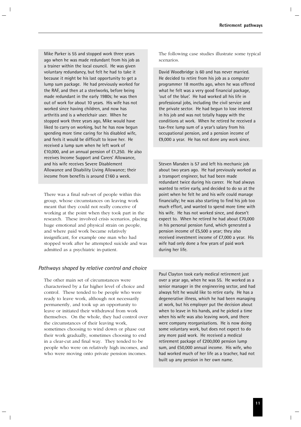Mike Parker is 55 and stopped work three years ago when he was made redundant from his job as a trainer within the local council. He was given voluntary redundancy, but felt he had to take it because it might be his last opportunity to get a lump sum package. He had previously worked for the RAF, and then at a steelworks, before being made redundant in the early 1980s; he was then out of work for about 10 years. His wife has not worked since having children, and now has arthritis and is a wheelchair user. When he stopped work three years ago, Mike would have liked to carry on working, but he has now begun spending more time caring for his disabled wife, and feels it would be difficult to leave her. He received a lump sum when he left work of £10,000, and an annual pension of £1,250. He also receives Income Support and Carers' Allowance, and his wife receives Severe Disablement Allowance and Disability Living Allowance; their income from benefits is around £160 a week.

There was a final sub-set of people within this group, whose circumstances on leaving work meant that they could not really conceive of working at the point when they took part in the research. These involved crisis scenarios, placing huge emotional and physical strain on people, and where paid work became relatively insignificant, for example one man who had stopped work after he attempted suicide and was admitted as a psychiatric in-patient.

# *Pathways shaped by relative control and choice*

The other main set of circumstances were characterised by a far higher level of choice and control. These tended to be people who were ready to leave work, although not necessarily permanently, and took up an opportunity to leave or initiated their withdrawal from work themselves. On the whole, they had control over the circumstances of their leaving work, sometimes choosing to wind down or phase out their work gradually, sometimes choosing to end in a clear-cut and final way. They tended to be people who were on relatively high incomes, and who were moving onto private pension incomes.

The following case studies illustrate some typical scenarios.

David Woodbridge is 60 and has never married. He decided to retire from his job as a computer programmer 18 months ago, when he was offered what he felt was a very good financial package, 'out of the blue'. He had worked all his life in professional jobs, including the civil service and the private sector. He had begun to lose interest in his job and was not totally happy with the conditions at work. When he retired he received a tax-free lump sum of a year's salary from his occupational pension, and a pension income of £9,000 a year. He has not done any work since.

Steven Marsden is 57 and left his mechanic job about two years ago. He had previously worked as a transport engineer, but had been made redundant twice during his career. He had always wanted to retire early, and decided to do so at the point when he felt he and his wife could manage financially; he was also starting to find his job too much effort, and wanted to spend more time with his wife. He has not worked since, and doesn't expect to. When he retired he had about £70,000 in his personal pension fund, which generated a pension income of £5,500 a year; they also received investment income of £7,000 a year. His wife had only done a few years of paid work during her life.

Paul Clayton took early medical retirement just over a year ago, when he was 55. He worked as a senior manager in the engineering sector, and had always felt he would like to retire early. He has a degenerative illness, which he had been managing at work, but his employer put the decision about when to leave in his hands, and he picked a time when his wife was also leaving work, and there were company reorganisations. He is now doing some voluntary work, but does not expect to do any more paid work. He received a medical retirement package of £200,000 pension lump sum, and £50,000 annual income. His wife, who had worked much of her life as a teacher, had not built up any pension in her own name.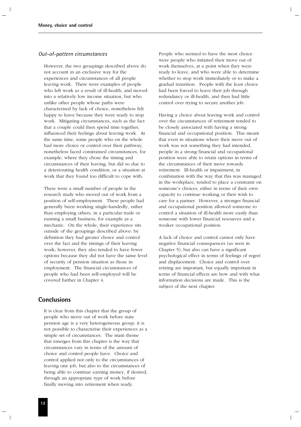#### *Out-of-pattern circumstances*

However, the two groupings described above do not account in an exclusive way for the experiences and circumstances of all people leaving work. There were examples of people who left work as a result of ill-health, and moved into a relatively low income situation, but who unlike other people whose paths were characterised by lack of choice, nonetheless felt happy to leave because they were ready to stop work. Mitigating circumstances, such as the fact that a couple could then spend time together, influenced their feelings about leaving work. At the same time, some people who on the whole had more choice or control over their pathway, nonetheless faced constrained circumstances, for example, where they chose the timing and circumstances of their leaving, but did so due to a deteriorating health condition, or a situation at work that they found too difficult to cope with.

There were a small number of people in the research study who moved out of work from a position of self-employment. These people had generally been working single-handedly, rather than employing others, in a particular trade or running a small business, for example as a mechanic. On the whole, their experience sits outside of the groupings described above: by definition they had greater choice and control over the fact and the timings of their leaving work; however, they also tended to have fewer options because they did not have the same level of security of pension situation as those in employment. The financial circumstances of people who had been self-employed will be covered further in Chapter 4.

# **Conclusions**

It is clear from this chapter that the group of people who move out of work before state pension age is a very heterogeneous group: it is not possible to characterise their experiences as a simple set of circumstances. The main theme that emerges from this chapter is the way that circumstances vary in terms of the amount of choice and control people have. Choice and control applied not only to the circumstances of leaving one job, but also to the circumstances of being able to continue earning money, if desired, through an appropriate type of work before finally moving into retirement when ready.

People who seemed to have the most choice were people who initiated their move out of work themselves, at a point when they were ready to leave, and who were able to determine whether to stop work immediately or to make a gradual transition. People with the least choice had been forced to leave their job through redundancy or ill-health, and then had little control over trying to secure another job.

Having a choice about leaving work and control over the circumstances of retirement tended to be closely associated with having a strong financial and occupational position. This meant that even in situations where their move out of work was not something they had intended, people in a strong financial and occupational position were able to retain options in terms of the circumstances of their move towards retirement. Ill-health or impairment, in combination with the way that this was managed in the workplace, tended to place a constraint on someone's choices, either in terms of their own capacity to continue working or their wish to care for a partner. However, a stronger financial and occupational position allowed someone to control a situation of ill-health more easily than someone with lower financial resources and a weaker occupational position.

A lack of choice and control cannot only have negative financial consequences (as seen in Chapter 5), but also can have a significant psychological effect in terms of feelings of regret and displacement. Choice and control over retiring are important, but equally important in terms of financial effects are how and with what information decisions are made. This is the subject of the next chapter.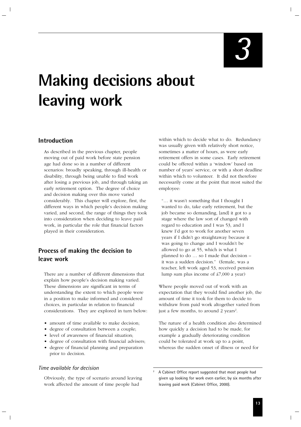*3*

# **Making decisions about leaving work**

# **Introduction**

As described in the previous chapter, people moving out of paid work before state pension age had done so in a number of different scenarios: broadly speaking, through ill-health or disability, through being unable to find work after losing a previous job, and through taking an early retirement option. The degree of choice and decision making over this move varied considerably. This chapter will explore, first, the different ways in which people's decision making varied, and second, the range of things they took into consideration when deciding to leave paid work, in particular the role that financial factors played in their consideration.

# **Process of making the decision to leave work**

There are a number of different dimensions that explain how people's decision making varied. These dimensions are significant in terms of understanding the extent to which people were in a position to make informed and considered choices, in particular in relation to financial considerations. They are explored in turn below:

- amount of time available to make decision;
- degree of consultation between a couple;
- level of awareness of financial situation;
- degree of consultation with financial advisers;
- degree of financial planning and preparation prior to decision.

# *Time available for decision*

Obviously, the type of scenario around leaving work affected the amount of time people had

within which to decide what to do. Redundancy was usually given with relatively short notice, sometimes a matter of hours, as were early retirement offers in some cases. Early retirement could be offered within a 'window' based on number of years' service, or with a short deadline within which to volunteer. It did not therefore necessarily come at the point that most suited the employee:

"… it wasn't something that I thought I wanted to do, take early retirement, but the job became so demanding, [and] it got to a stage where the law sort of changed with regard to education and I was 53, and I knew I'd got to work for another seven years if I didn't go straightaway because it was going to change and I wouldn't be allowed to go at 55, which is what I planned to do … so I made that decision – it was a sudden decision." (female, was a teacher, left work aged 53, received pension lump sum plus income of £7,000 a year)

Where people moved out of work with an expectation that they would find another job, the amount of time it took for them to decide to withdraw from paid work altogether varied from just a few months, to around 2 years<sup>2</sup>.

The nature of a health condition also determined how quickly a decision had to be made, for example a gradually deteriorating condition could be tolerated at work up to a point, whereas the sudden onset of illness or need for

<sup>2</sup> A Cabinet Office report suggested that most people had given up looking for work even earlier, by six months after leaving paid work (Cabinet Office, 2000).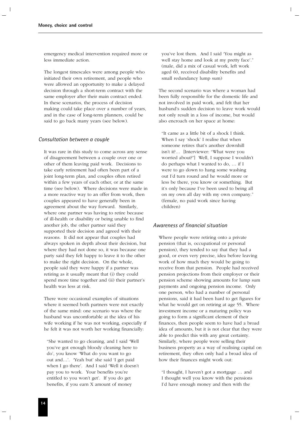emergency medical intervention required more or less immediate action.

The longest timescales were among people who initiated their own retirement, and people who were allowed an opportunity to make a delayed decision through a short-term contract with the same employer after their main contract ended. In these scenarios, the process of decision making could take place over a number of years, and in the case of long-term planners, could be said to go back many years (see below).

### *Consultation between a couple*

It was rare in this study to come across any sense of disagreement between a couple over one or other of them leaving paid work. Decisions to take early retirement had often been part of a joint long-term plan, and couples often retired within a few years of each other, or at the same time (see below). Where decisions were made in a more reactive way to an offer from work, then couples appeared to have generally been in agreement about the way forward. Similarly, where one partner was having to retire because of ill-health or disability or being unable to find another job, the other partner said they supported their decision and agreed with their reasons. It did not appear that couples had always spoken in depth about their decision, but where they had not done so, it was because one party said they felt happy to leave it to the other to make the right decision. On the whole, people said they were happy if a partner was retiring as it usually meant that (i) they could spend more time together and (ii) their partner's health was less at risk.

There were occasional examples of situations where it seemed both partners were not exactly of the same mind: one scenario was where the husband was uncomfortable at the idea of his wife working if he was not working, especially if he felt it was not worth her working financially:

"She wanted to go cleaning, and I said 'Well you've got enough bloody cleaning here to do', you know 'What do you want to go out and…'. 'Yeah but' she said 'I get paid when I go there'. And I said 'Well it doesn't pay you to work. Your benefits you're entitled to you won't get'. If you do get benefits, if you earn X amount of money

you've lost them. And I said 'You might as well stay home and look at my pretty face'." (male, did a mix of casual work, left work aged 60, received disability benefits and small redundancy lump sum)

The second scenario was where a woman had been fully responsible for the domestic life and not involved in paid work, and felt that her husband's sudden decision to leave work would not only result in a loss of income, but would also encroach on her space at home:

"It came as a little bit of a shock I think. When I say 'shock' I realise that when someone retires that's another downhill isn't it?… [Interviewer: "What were you worried about?"] Well, I suppose I wouldn't do perhaps what I wanted to do, … if I were to go down to hang some washing out I'd turn round and he would more or less be there, you know or something. But it's only because I've been used to being all on my own all day with my own company." (female, no paid work since having children)

#### *Awareness of financial situation*

Where people were retiring onto a private pension (that is, occupational or personal pension), they tended to say that they had a good, or even very precise, idea before leaving work of how much they would be going to receive from that pension. People had received pension projections from their employer or their pension scheme showing amounts for lump sum payments and ongoing pension income. Only one person, who had a number of personal pensions, said it had been hard to get figures for what he would get on retiring at age 55. Where investment income or a maturing policy was going to form a significant element of their finances, then people seem to have had a broad idea of amounts, but it is not clear that they were able to predict this with any great certainty. Similarly, where people were selling their business property as a way of realising capital on retirement, they often only had a broad idea of how their finances might work out:

"I thought, I haven't got a mortgage … and I thought well you know with the pensions I'd have enough money and then with the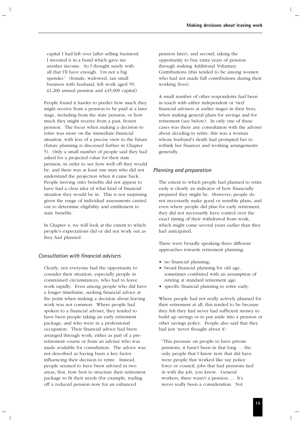capital I had left over [after selling business] I invested it in a bond which gave me another income. So I thought surely with all that I'll have enough. I'm not a big spender." (female, widowed, ran small business with husband, left work aged 59, £1,200 annual pension and £45,000 capital)

People found it harder to predict how much they might receive from a pension to be paid at a later stage, including from the state pension, or how much they might receive from a past, frozen pension. The focus when making a decision to retire was more on the immediate financial situation, with less of a precise view to the future (future planning is discussed further in Chapter 5). Only a small number of people said they had asked for a projected value for their state pension, in order to see how well off they would be, and there was at least one man who did not understand the projection when it came back. People moving onto benefits did not appear to have had a clear idea of what kind of financial situation they would be in. This is not surprising given the range of individual assessments carried out to determine eligibility and entitlement to state benefits.

In Chapter 4, we will look at the extent to which people's expectations did or did not work out as they had planned.

# *Consultation with financial advisers*

Clearly, not everyone had the opportunity to consider their situation, especially people in constrained circumstances, who had to leave work rapidly. Even among people who did have a longer timeframe, seeking financial advice at the point when making a decision about leaving work was not common. Where people had spoken to a financial adviser, they tended to have been people taking an early retirement package, and who were in a professional occupation. Their financial advice had been arranged through work, either as part of a preretirement course or from an adviser who was made available for consultation. The advice was not described as having been a key factor influencing their decision to retire. Instead, people seemed to have been advised in two areas; first, how best to structure their retirement package to fit their needs (for example, trading off a reduced pension now for an enhanced

pension later), and second, taking the opportunity to buy extra years of pension through making Additional Voluntary Contributions (this tended to be among women who had not made full contributions during their working lives).

A small number of other respondents had been in touch with either independent or 'tied' financial advisers at earlier stages in their lives, when making general plans for savings and for retirement (see below). In only one of these cases was there any consultation with the adviser about deciding to retire: this was a woman whose husband's death had prompted her to rethink her finances and working arrangements generally.

## *Planning and preparation*

The extent to which people had planned to retire early is clearly an indicator of how financially prepared they might be. However, people do not necessarily make good or sensible plans, and even where people did plan for early retirement, they did not necessarily have control over the exact timing of their withdrawal from work, which might come several years earlier than they had anticipated.

There were broadly speaking three different approaches towards retirement planning:

- no financial planning;
- broad financial planning for old age, sometimes combined with an assumption of retiring at standard retirement age;
- specific financial planning to retire early.

Where people had not really actively planned for their retirement at all, this tended to be because they felt they had never had sufficient money to build up savings or to put aside into a pension or other savings policy. People also said that they had just 'never thought about it':

"This pressure on people to have private pensions, it hasn't been in that long … the only people that I know now that did have were people that worked like say police force or council, jobs that had pensions tied in with the job, you know. General workers, there wasn't a pension…. It's never really been a consideration. Not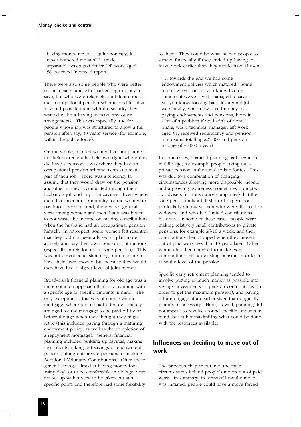having money never … quite honestly, it's never bothered me at all." (male, separated, was a taxi driver, left work aged 58, received Income Support)

There were also some people who were better off financially, and who had enough money to save, but who were relatively confident about their occupational pension scheme, and felt that it would provide them with the security they wanted without having to make any other arrangements. This was especially true for people whose job was structured to allow a full pension after, say, 30 years' service (for example, within the police force).

On the whole, married women had not planned for their retirement in their own right; where they did have a pension it was where they had an occupational pension scheme as an automatic part of their job. There was a tendency to assume that they would draw on the pension and other money accumulated through their husband's job and any joint savings. Even where there had been an opportunity for the women to pay into a pension fund, there was a general view among women and men that it was better to not waste the income on making contributions when the husband had an occupational pension himself. In retrospect, some women felt resentful that they had not been advised to plan more actively and pay their own pension contributions (especially in relation to the state pension). This was not described as stemming from a desire to have their 'own' money, but because they would then have had a higher level of joint money.

Broad-brush financial planning for old age was a more common approach than any planning with a specific age or specific amounts in mind. The only exception to this was of course with a mortgage, where people had often deliberately arranged for the mortgage to be paid off by or before the age when they thought they might retire (this included paying through a maturing endowment policy, as well as the completion of a repayment mortgage). General financial planning included building up savings, making investments, taking out savings or endowment policies, taking out private pensions or making Additional Voluntary Contributions. Often these general savings, aimed at having money for a 'rainy day', or to be comfortable in old age, were not set up with a view to be taken out at a specific point, and therefore had some flexibility

to them. They could be what helped people to survive financially if they ended up having to leave work earlier than they would have chosen.

"… towards the end we had some endowment policies which matured. Some of that we've had to, you know live on, some of it we've saved, managed to save…. So, you know looking back it's a good job we actually, you know saved money by paying endowments and pensions, been in a bit of a problem if we hadn't of done." (male, was a technical manager, left work aged 61, received redundancy and pension lump sums totalling £25,000 and pension income of £3,000 a year)

In some cases, financial planning had begun in middle age, for example people taking out a private pension in their mid to late forties. This was due to a combination of changing circumstances allowing more disposable income, and a growing awareness (sometimes prompted by advisers from insurance companies) that the state pension might fall short of expectations, particularly among women who were divorced or widowed and who had limited contributions histories. In some of these cases, people were making relatively small contributions to private pensions, for example £5-10 a week, and their contributions then stopped when they moved out of paid work less than 10 years later. Other women had been advised to make extra contributions into an existing pension in order to raise the level of the pension.

Specific early retirement planning tended to involve putting as much money as possible into savings, investments or pension contributions (in order to get the maximum pension), and paying off a mortgage at an earlier stage than originally planned if necessary. Here, as well, planning did not appear to revolve around specific amounts in mind, but rather maximising what could be done, with the resources available.

# **Influences on deciding to move out of work**

The previous chapter outlined the main circumstances behind people's moves out of paid work. In summary, in terms of how the move was initiated, people could have a move forced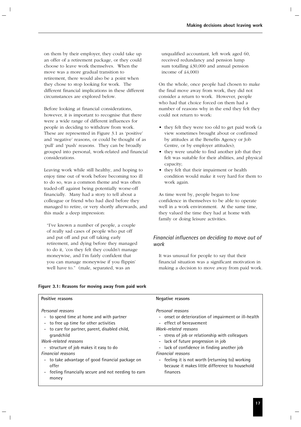on them by their employer, they could take up an offer of a retirement package, or they could choose to leave work themselves. When the move was a more gradual transition to retirement, there would also be a point when they chose to stop looking for work. The different financial implications in these different circumstances are explored below.

Before looking at financial considerations, however, it is important to recognise that there were a wide range of different influences for people in deciding to withdraw from work. These are represented in Figure 3.1 as 'positive' and 'negative' reasons, or could be thought of as 'pull' and 'push' reasons. They can be broadly grouped into personal, work-related and financial considerations.

Leaving work while still healthy, and hoping to enjoy time out of work before becoming too ill to do so, was a common theme and was often traded-off against being potentially worse-off financially. Many had a story to tell about a colleague or friend who had died before they managed to retire, or very shortly afterwards, and this made a deep impression:

"I've known a number of people, a couple of really sad cases of people who put off and put off and put off taking early retirement, and dying before they managed to do it, 'cos they felt they couldn't manage moneywise, and I'm fairly confident that you can manage moneywise if you flippin' well have to." (male, separated, was an

unqualified accountant, left work aged 60, received redundancy and pension lump sum totalling £30,000 and annual pension income of £4,000)

On the whole, once people had chosen to make the final move away from work, they did not consider a return to work. However, people who had that choice forced on them had a number of reasons why in the end they felt they could not return to work:

- they felt they were too old to get paid work (a view sometimes brought about or confirmed by attitudes at the Benefits Agency or Job Centre, or by employer attitudes);
- they were unable to find another job that they felt was suitable for their abilities, and physical capacity;
- they felt that their impairment or health condition would make it very hard for them to work again.

As time went by, people began to lose confidence in themselves to be able to operate well in a work environment. At the same time, they valued the time they had at home with family or doing leisure activities.

# *Financial influences on deciding to move out of work*

It was unusual for people to say that their financial situation was a significant motivation in making a decision to move away from paid work.

### **Figure 3.1: Reasons for moving away from paid work**

#### *Personal reasons* - onset or deterioration of impairment or ill-health - effect of bereavement *Work-related reasons* - stress of job or relationship with colleagues - lack of future progression in job Positive reasons **Negative reasons** *Personal reasons* - to spend time at home and with partner - to free up time for other activities - to care for partner, parent, disabled child, grandchild *Work-related reasons*

- structure of job makes it easy to do

#### *Financial reasons*

- to take advantage of good financial package on offer
- feeling financially secure and not needing to earn money
- lack of confidence in finding another job

*Financial reasons*

- feeling it is not worth (returning to) working because it makes little difference to household finances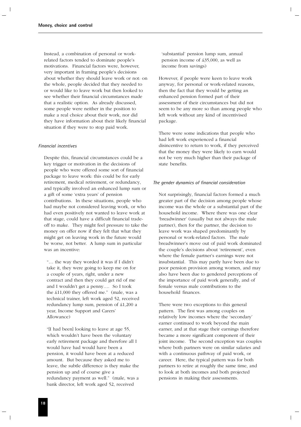Instead, a combination of personal or workrelated factors tended to dominate people's motivations. Financial factors were, however, very important in framing people's decisions about whether they should leave work or not: on the whole, people decided that they needed to or would like to leave work but then looked to see whether their financial circumstances made that a realistic option. As already discussed, some people were neither in the position to make a real choice about their work, nor did they have information about their likely financial situation if they were to stop paid work.

#### *Financial incentives*

Despite this, financial circumstances could be a key trigger or motivation in the decisions of people who were offered some sort of financial package to leave work: this could be for early retirement, medical retirement, or redundancy, and typically involved an enhanced lump sum or a gift of some 'extra years' of pension contributions. In these situations, people who had maybe not considered leaving work, or who had even positively not wanted to leave work at that stage, could have a difficult financial tradeoff to make. They might feel pressure to take the money on offer now if they felt that what they might get on leaving work in the future would be worse, not better. A lump sum in particular was an incentive:

"… the way they worded it was if I didn't take it, they were going to keep me on for a couple of years, right, under a new contract and then they could get rid of me and I wouldn't get a penny…. So I took the £11,000 they offered me." (male, was a technical trainer, left work aged 52, received redundancy lump sum, pension of £1,200 a year, Income Support and Carers' Allowance)

"[I had been] looking to leave at age 55, which wouldn't have been the voluntary early retirement package and therefore all I would have had would have been a pension, it would have been at a reduced amount. But because they asked me to leave, the subtle difference is they make the pension up and of course give a redundancy payment as well." (male, was a bank director, left work aged 52, received

'substantial' pension lump sum, annual pension income of £35,000, as well as income from savings)

However, if people were keen to leave work anyway, for personal or work-related reasons, then the fact that they would be getting an enhanced pension formed part of their assessment of their circumstances but did not seem to be any more so than among people who left work without any kind of incentivised package.

There were some indications that people who had left work experienced a financial disincentive to return to work, if they perceived that the money they were likely to earn would not be very much higher than their package of state benefits.

#### *The gender dynamics of financial consideration*

Not surprisingly, financial factors formed a much greater part of the decision among people whose income was the whole or a substantial part of the household income. Where there was one clear 'breadwinner' (usually but not always the male partner), then for the partner, the decision to leave work was shaped predominantly by personal or work-related factors. The male breadwinner's move out of paid work dominated the couple's decisions about 'retirement', even where the female partner's earnings were not insubstantial. This may partly have been due to poor pension provision among women, and may also have been due to gendered perceptions of the importance of paid work generally, and of female versus male contributions to the household finances.

There were two exceptions to this general pattern. The first was among couples on relatively low incomes where the 'secondary' earner continued to work beyond the main earner, and at that stage their earnings therefore became a more significant component of their joint income. The second exception was couples where both partners were on similar salaries and with a continuous pathway of paid work, or career. Here, the typical pattern was for both partners to retire at roughly the same time, and to look at both incomes and both projected pensions in making their assessments.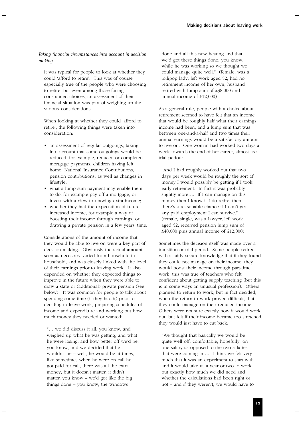### *Taking financial circumstances into account in decision making*

It was typical for people to look at whether they could 'afford to retire'. This was of course especially true of the people who were choosing to retire, but even among those facing constrained choices, an assessment of their financial situation was part of weighing up the various considerations.

When looking at whether they could 'afford to retire', the following things were taken into consideration:

- an assessment of regular outgoings, taking into account that some outgoings would be reduced, for example, reduced or completed mortgage payments, children having left home, National Insurance Contributions, pension contributions, as well as changes in lifestyle;
- what a lump sum payment may enable them to do, for example pay off a mortgage, or invest with a view to drawing extra income;
- whether they had the expectation of future increased income, for example a way of boosting their income through earnings, or drawing a private pension in a few years' time.

Considerations of the amount of income that they would be able to live on were a key part of decision making. Obviously the actual amount seen as necessary varied from household to household, and was closely linked with the level of their earnings prior to leaving work. It also depended on whether they expected things to improve in the future when they were able to draw a state or (additional) private pension (see below). It was common for people to talk about spending some time (if they had it) prior to deciding to leave work, preparing schedules of income and expenditure and working out how much money they needed or wanted:

"… we did discuss it all, you know, and weighed up what he was getting, and what he were losing, and how better off we'd be, you know, and we decided that he wouldn't be – well, he would be at times, like sometimes when he were on call he got paid for call, there was all the extra money, but it doesn't matter, it didn't matter, you know – we'd got like the big things done – you know, the windows

done and all this new heating and that, we'd got these things done, you know, while he was working so we thought we could manage quite well." (female, was a lollipop lady, left work aged 52, had no retirement income of her own, husband retired with lump sum of £38,000 and annual income of £12,000)

As a general rule, people with a choice about retirement seemed to have felt that an income that would be roughly half what their earnings income had been, and a lump sum that was between one-and-a-half and two times their annual earnings would be a satisfactory amount to live on. One woman had worked two days a week towards the end of her career, almost as a trial period:

"And I had roughly worked out that two days per week would be roughly the sort of money I would possibly be getting if I took early retirement. In fact it was probably slightly more…. If I can manage on this money then I know if I do retire, then there's a reasonable chance if I don't get any paid employment I can survive." (female, single, was a lawyer, left work aged 52, received pension lump sum of  $\text{\pounds}40,000$  plus annual income of  $\text{\pounds}12,000$ )

Sometimes the decision itself was made over a transition or trial period. Some people retired with a fairly secure knowledge that if they found they could not manage on their income, they would boost their income through part-time work; this was true of teachers who felt confident about getting supply teaching (but this is in some ways an unusual profession). Others planned to return to work, but in fact decided, when the return to work proved difficult, that they could manage on their reduced income. Others were not sure exactly how it would work out, but felt if their income became too stretched, they would just have to cut back:

"We thought that basically we would be quite well off, comfortable, hopefully, on one salary as opposed to the two salaries that were coming in…. I think we felt very much that it was an experiment to start with and it would take us a year or two to work out exactly how much we did need and whether the calculations had been right or not – and if they weren't, we would have to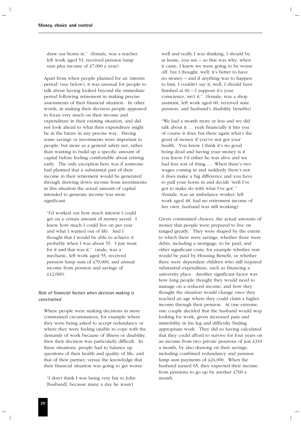draw our horns in." (female, was a teacher, left work aged 53, received pension lump sum plus income of £7,000 a year)

Apart from when people planned for an 'interim period' (see below), it was unusual for people to talk about having looked beyond the immediate period following retirement in making precise assessments of their financial situation. In other words, in making their decision people appeared to focus very much on their income and expenditure in their existing situation, and did not look ahead to what their expenditure might be in the future in any precise way. Having some savings or investments were important to people, but more as a general safety net, rather than wanting to build up a specific amount of capital before feeling comfortable about retiring early. The only exception here was if someone had planned that a substantial part of their income in their retirement would be generated through drawing down income from investments; in this situation the actual amount of capital intended to generate income was more significant:

"I'd worked out how much interest I could get on a certain amount of money saved. I knew how much I could live on per year and what I wanted out of life. And I thought that I would be able to achieve it probably when I was about 55. I just went for it and that was it." (male, was a mechanic, left work aged 55, received pension lump sum of £70,000, and annual income from pension and savings of £12,000)

### *Role of financial factors when decision making is constrained*

Where people were making decisions in more constrained circumstances, for example where they were being asked to accept redundancy or where they were feeling unable to cope with the demands of work because of illness or disability, then their decision was particularly difficult. In these situations, people had to balance up questions of their health and quality of life, and that of their partner, versus the knowledge that their financial situation was going to get worse:

"I don't think I was being very fair to John [husband], because many a day he wasn't

well and really I was thinking, I should be at home, you see – so that was why, when it came, I knew we were going to be worse off, but I thought, well, it's better to have no money – and if anything was to happen to him, I couldn't say it, well, I should have finished at  $60 - I$  suppose it's your conscience, isn't it." (female, was a shop assistant, left work aged 60, received state pension, and husband's disability benefits)

"We had a month more or less and we did talk about it … yeah financially it hits you of course it does but there again what's the good of money if you've not got your health. You know I think it's no good being dead and having your money is it you know I'd rather he was alive and we had less sort of thing…. When there's two wages coming in and suddenly there's not it does make a big difference and you have to pull your horns in and decide 'well I've got to make do with what I've got'." (female, was an ambulance worker, left work aged 48, had no retirement income of her own, husband was still working)

Given constrained choices, the actual amounts of money that people were prepared to live on ranged greatly. They were shaped by the extent to which there were savings, whether there were debts, including a mortgage, to be paid, and other significant costs, for example whether rent would be paid by Housing Benefit, or whether there were dependant children who still required substantial expenditure, such as financing a university place. Another significant factor was how long people thought they would need to manage on a reduced income, and how they thought the situation would change once they reached an age where they could claim a higher income through their pension. At one extreme, one couple decided that the husband would stop looking for work, given increased pain and immobility in his leg and difficulty finding appropriate work. They did so having calculated that they could afford to survive for four years on an income from two private pensions of just £310 a month, by also drawing on their savings, including combined redundancy and pension lump sum payments of £24,000. When the husband turned 65, they expected their income from pensions to go up by another £700 a month.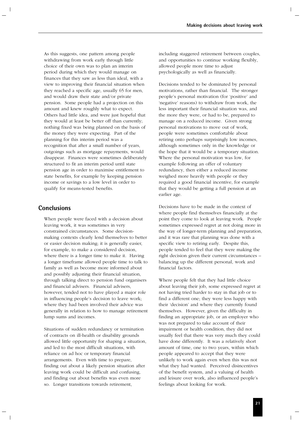As this suggests, one pattern among people withdrawing from work early through little choice of their own was to plan an interim period during which they would manage on finances that they saw as less than ideal, with a view to improving their financial situation when they reached a specific age, usually 65 for men, and would draw their state and/or private pension. Some people had a projection on this amount and knew roughly what to expect. Others had little idea, and were just hopeful that they would at least be better off than currently; nothing fixed was being planned on the basis of the money they were expecting. Part of the planning for this interim period was a recognition that after a small number of years, outgoings such as mortgage repayments, would disappear. Finances were sometimes deliberately structured to fit an interim period until state pension age in order to maximise entitlement to state benefits, for example by keeping pension income or savings to a low level in order to qualify for means-tested benefits.

# **Conclusions**

When people were faced with a decision about leaving work, it was sometimes in very constrained circumstances. Some decisionmaking contexts clearly lend themselves to better or easier decision making; it is generally easier, for example, to make a considered decision, where there is a longer time to make it. Having a longer timeframe allowed people time to talk to family as well as become more informed about and possibly adjusting their financial situation, through talking direct to pension fund organisers and financial advisers. Financial advisers, however, tended not to have played a major role in influencing people's decision to leave work; where they had been involved their advice was generally in relation to how to manage retirement lump sums and incomes.

Situations of sudden redundancy or termination of contracts on ill-health or disability grounds allowed little opportunity for shaping a situation, and led to the most difficult situations, with reliance on ad hoc or temporary financial arrangements. Even with time to prepare, finding out about a likely pension situation after leaving work could be difficult and confusing, and finding out about benefits was even more so. Longer transitions towards retirement,

including staggered retirement between couples, and opportunities to continue working flexibly, allowed people more time to adjust psychologically as well as financially.

Decisions tended to be dominated by personal motivations, rather than financial. The stronger people's personal motivation (for 'positive' and 'negative' reasons) to withdraw from work, the less important their financial situation was, and the more they were, or had to be, prepared to manage on a reduced income. Given strong personal motivations to move out of work, people were sometimes comfortable about retiring onto perhaps surprisingly low incomes, although sometimes only in the knowledge or the hope that it would be a temporary situation. Where the personal motivation was low, for example following an offer of voluntary redundancy, then either a reduced income weighed more heavily with people or they required a good financial incentive, for example that they would be getting a full pension at an earlier age.

Decisions have to be made in the context of where people find themselves financially at the point they come to look at leaving work. People sometimes expressed regret at not doing more in the way of longer-term planning and preparation, and it was rare that planning was done with a specific view to retiring early. Despite this, people tended to feel that they were making the right decision given their current circumstances – balancing up the different personal, work and financial factors.

Where people felt that they had little choice about leaving their job, some expressed regret at not having tried harder to stay in that job or to find a different one; they were less happy with their 'decision' and where they currently found themselves. However, given the difficulty in finding an appropriate job, or an employer who was not prepared to take account of their impairment or health condition, they did not usually feel that there was very much they could have done differently. It was a relatively short amount of time, one to two years, within which people appeared to accept that they were unlikely to work again even when this was not what they had wanted. Perceived disincentives of the benefit system, and a valuing of health and leisure over work, also influenced people's feelings about looking for work.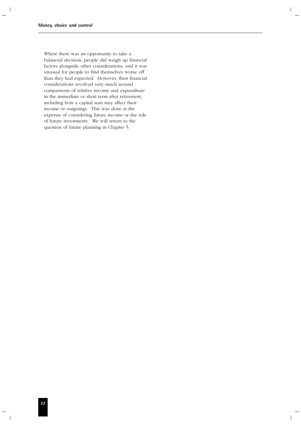Where there was an opportunity to take a balanced decision, people did weigh up financial factors alongside other considerations, and it was unusual for people to find themselves worse off than they had expected. However, their financial considerations revolved very much around comparisons of relative income and expenditure in the immediate or short term after retirement, including how a capital sum may affect their income or outgoings. This was done at the expense of considering future income or the role of future investments. We will return to the question of future planning in Chapter 5.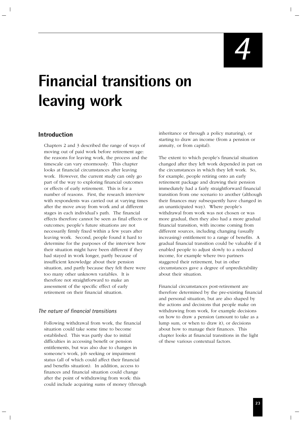*4*

# **Financial transitions on leaving work**

# **Introduction**

Chapters 2 and 3 described the range of ways of moving out of paid work before retirement age: the reasons for leaving work, the process and the timescale can vary enormously. This chapter looks at financial circumstances after leaving work. However, the current study can only go part of the way to exploring financial outcomes or effects of early retirement. This is for a number of reasons. First, the research interview with respondents was carried out at varying times after the move away from work and at different stages in each individual's path. The financial effects therefore cannot be seen as final effects or outcomes; people's future situations are not necessarily firmly fixed within a few years after leaving work. Second, people found it hard to determine for the purposes of the interview how their situation might have been different if they had stayed in work longer, partly because of insufficient knowledge about their pension situation, and partly because they felt there were too many other unknown variables. It is therefore not straightforward to make an assessment of the specific effect of early retirement on their financial situation.

# *The nature of financial transitions*

Following withdrawal from work, the financial situation could take some time to become established. This was partly due to initial difficulties in accessing benefit or pension entitlements, but was also due to changes in someone's work, job seeking or impairment status (all of which could affect their financial and benefits situation). In addition, access to finances and financial situation could change after the point of withdrawing from work: this could include acquiring sums of money (through inheritance or through a policy maturing), or starting to draw an income (from a pension or annuity, or from capital).

The extent to which people's financial situation changed after they left work depended in part on the circumstances in which they left work. So, for example, people retiring onto an early retirement package and drawing their pension immediately had a fairly straightforward financial transition from one scenario to another (although their finances may subsequently have changed in an unanticipated way). Where people's withdrawal from work was not chosen or was more gradual, then they also had a more gradual financial transition, with income coming from different sources, including changing (usually increasing) entitlement to a range of benefits. A gradual financial transition could be valuable if it enabled people to adjust slowly to a reduced income, for example where two partners staggered their retirement, but in other circumstances gave a degree of unpredictability about their situation.

Financial circumstances post-retirement are therefore determined by the pre-existing financial and personal situation, but are also shaped by the actions and decisions that people make on withdrawing from work, for example decisions on how to draw a pension (amount to take as a lump sum, or when to draw it), or decisions about how to manage their finances. This chapter looks at financial transitions in the light of these various contextual factors.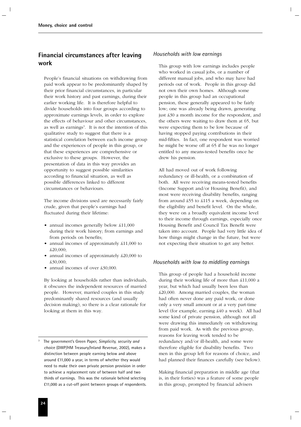# **Financial circumstances after leaving work**

People's financial situations on withdrawing from paid work appear to be predominantly shaped by their prior financial circumstances, in particular their work history and past earnings, during their earlier working life. It is therefore helpful to divide households into four groups according to approximate earnings levels, in order to explore the effects of behaviour and other circumstances, as well as earnings<sup>3</sup>. It is not the intention of this qualitative study to suggest that there is a statistical correlation between each income group and the experiences of people in this group, or that these experiences are comprehensive or exclusive to these groups. However, the presentation of data in this way provides an opportunity to suggest possible similarities according to financial situation, as well as possible differences linked to different circumstances or behaviours.

The income divisions used are necessarily fairly crude, given that people's earnings had fluctuated during their lifetime:

- annual incomes generally below £11,000 during their work history; from earnings and from periods on benefits;
- annual incomes of approximately £11,000 to £20,000;
- annual incomes of approximately £20,000 to £30,000;
- annual incomes of over £30,000.

By looking at households rather than individuals, it obscures the independent resources of married people. However, married couples in this study predominantly shared resources (and usually decision making), so there is a clear rationale for looking at them in this way.

### *Households with low earnings*

This group with low earnings includes people who worked in casual jobs, or a number of different manual jobs, and who may have had periods out of work. People in this group did not own their own homes. Although some people in this group had an occupational pension, these generally appeared to be fairly low; one was already being drawn, generating just £30 a month income for the respondent, and the others were waiting to draw them at 65, but were expecting them to be low because of having stopped paying contributions in their mid-fifties. In fact, one respondent was worried he might be worse off at 65 if he was no longer entitled to any means-tested benefits once he drew his pension.

All had moved out of work following redundancy or ill-health, or a combination of both. All were receiving means-tested benefits (Income Support and/or Housing Benefit), and most were receiving disability benefits, ranging from around £55 to £115 a week, depending on the eligibility and benefit level. On the whole, they were on a broadly equivalent income level to their income through earnings, especially once Housing Benefit and Council Tax Benefit were taken into account. People had very little idea of how things might change in the future, but were not expecting their situation to get any better.

### *Households with low to middling earnings*

This group of people had a household income during their working life of more than £11,000 a year, but which had usually been less than £20,000. Among married couples, the woman had often never done any paid work, or done only a very small amount or at a very part-time level (for example, earning £40 a week). All had some kind of private pension, although not all were drawing this immediately on withdrawing from paid work. As with the previous group, reasons for leaving work tended to be redundancy and/or ill-health, and some were therefore eligible for disability benefits. Two men in this group left for reasons of choice, and had planned their finances carefully (see below).

Making financial preparation in middle age (that is, in their forties) was a feature of some people in this group, prompted by financial advisers

<sup>3</sup> The government's Green Paper, *Simplicity, security and choice* (DWP/HM Treasury/Inland Revenue, 2002), makes a distinction between people earning below and above around £11,000 a year, in terms of whether they would need to make their own private pension provision in order to achieve a replacement rate of between half and two thirds of earnings. This was the rationale behind selecting £11,000 as a cut-off point between groups of respondents.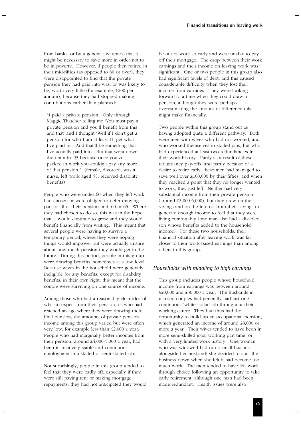from banks, or by a general awareness that it might be necessary to save more in order not to be in poverty. However, if people then retired in their mid-fifties (as opposed to 60 or over), they were disappointed to find that the private pension they had paid into was, or was likely to be, worth very little (for example, £200 per annum), because they had stopped making contributions earlier than planned:

"I paid a private pension. Only through Maggie Thatcher telling me 'You must pay a private pension and you'll benefit from this and that' and I thought 'Well if I don't get a pension for who I am at least I'll get what I've paid in'. And that'll be something that I've actually paid into. But that went down the drain in '95 because once you've packed in work you couldn't pay any more of that pension." (female, divorced, was a nurse, left work aged 55, received disability benefits)

People who were under 60 when they left work had chosen or were obliged to defer drawing part or all of their pension until 60 or 65. Where they had chosen to do so, this was in the hope that it would continue to grow and they would benefit financially from waiting. This meant that several people were having to survive a temporary period, where they were hoping things would improve, but were actually unsure about how much pension they would get in the future. During this period, people in this group were drawing benefits, sometimes at a low level. Because wives in the household were generally ineligible for any benefits, except for disability benefits, in their own right, this meant that the couple were surviving on one source of income.

Among those who had a reasonably clear idea of what to expect from their pension, or who had reached an age where they were drawing their final pension, the amounts of private pension income among this group varied but were often very low, for example less than £2,000 a year. People who had marginally better incomes from their pension, around £4,000-5,000 a year, had been in relatively stable and continuous employment in a skilled or semi-skilled job.

Not surprisingly, people in this group tended to feel that they were badly off, especially if they were still paying rent or making mortgage repayments; they had not anticipated they would be out of work so early and were unable to pay off their mortgage. The drop between their work earnings and their income on leaving work was significant. One or two people in this group also had significant levels of debt, and this caused considerable difficulty when they lost their income from earnings. They were looking forward to a time when they could draw a pension, although they were perhaps overestimating the amount of difference this might make financially.

Two people within this group stand out as having adopted quite a different pathway. Both were men with wives who had not worked, and who worked themselves in skilled jobs, but who had experienced at least two redundancies in their work history. Partly as a result of these redundancy pay-offs, and partly because of a desire to retire early, these men had managed to save well over £100,000 by their fifties, and when they reached a point that they no longer wanted to work, they just left. Neither had very substantial income from their private pension (around  $\text{\pounds}5,000-6,000$ ), but they drew on their savings and on the interest from their savings to generate enough income to feel that they were living comfortably (one man also had a disabled son whose benefits added to the household income). For these two households, their financial situation after leaving work was far closer to their work-based earnings than among others in this group.

#### *Households with middling to high earnings*

This group includes people whose household income from earnings was between around £20,000 and £30,000 a year. The husbands in married couples had generally had just one continuous 'white collar' job throughout their working career. They had thus had the opportunity to build up an occupational pension, which generated an income of around £8,000 or more a year. Their wives tended to have been in more semi-skilled jobs, working part time, or with a very limited work history. One woman who was widowed had run a small business alongside her husband; she decided to shut the business down when she felt it had become too much work. The men tended to have left work through choice following an opportunity to take early retirement, although one man had been made redundant. Health issues were also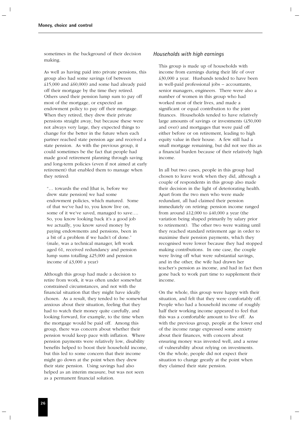sometimes in the background of their decision making.

As well as having paid into private pensions, this group also had some savings (of between  $\text{\pounds}15,000$  and  $\text{\pounds}60,000$  and some had already paid off their mortgage by the time they retired. Others used their pension lump sum to pay off most of the mortgage, or expected an endowment policy to pay off their mortgage. When they retired, they drew their private pensions straight away, but because these were not always very large, they expected things to change for the better in the future when each partner reached state pension age and received a state pension. As with the previous group, it could sometimes be the fact that people had made good retirement planning through saving and long-term policies (even if not aimed at early retirement) that enabled them to manage when they retired:

"… towards the end [that is, before we drew state pension] we had some endowment policies, which matured. Some of that we've had to, you know live on, some of it we've saved, managed to save…. So, you know looking back it's a good job we actually, you know saved money by paying endowments and pensions, been in a bit of a problem if we hadn't of done." (male, was a technical manager, left work aged 61, received redundancy and pension lump sums totalling £25,000 and pension income of £3,000 a year)

Although this group had made a decision to retire from work, it was often under somewhat constrained circumstances, and not with the financial situation that they might have ideally chosen. As a result, they tended to be somewhat anxious about their situation, feeling that they had to watch their money quite carefully, and looking forward, for example, to the time when the mortgage would be paid off. Among this group, there was concern about whether their pension would keep pace with inflation. Where pension payments were relatively low, disability benefits helped to boost their household income, but this led to some concern that their income might go down at the point when they drew their state pension. Using savings had also helped as an interim measure, but was not seen as a permanent financial solution.

#### *Households with high earnings*

This group is made up of households with income from earnings during their life of over £30,000 a year. Husbands tended to have been in well-paid professional jobs – accountants, senior managers, engineers. There were also a number of women in this group who had worked most of their lives, and made a significant or equal contribution to the joint finances. Households tended to have relatively large amounts of savings or investments (£50,000 and over) and mortgages that were paid off either before or on retirement, leading to high equity value in their house. A few still had a small mortgage remaining, but did not see this as a financial burden because of their relatively high income.

In all but two cases, people in this group had chosen to leave work when they did, although a couple of respondents in this group also made their decision in the light of deteriorating health. Apart from the two men who were made redundant, all had claimed their pension immediately on retiring: pension income ranged from around £12,000 to £40,000 a year (the variation being shaped primarily by salary prior to retirement). The other two were waiting until they reached standard retirement age in order to maximise their pension payments, which they recognised were lower because they had stopped making contributions. In one case, the couple were living off what were substantial savings, and in the other, the wife had drawn her teacher's pension as income, and had in fact then gone back to work part time to supplement their income.

On the whole, this group were happy with their situation, and felt that they were comfortably off. People who had a household income of roughly half their working income appeared to feel that this was a comfortable amount to live off. As with the previous group, people at the lower end of the income range expressed some anxiety about their finances, with concern about ensuring money was invested well, and a sense of vulnerability about relying on investments. On the whole, people did not expect their situation to change greatly at the point when they claimed their state pension.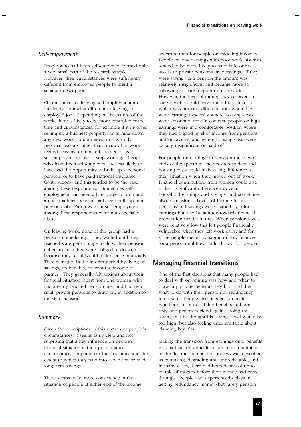#### *Self-employment*

People who had been self-employed formed only a very small part of the research sample. However, their circumstances were sufficiently different from employed people to merit a separate description.

Circumstances of leaving self-employment are inevitably somewhat different to leaving an employed job. Depending on the nature of the work, there is likely to be more control over the time and circumstances, for example if it involves selling up a business property, or turning down any new work opportunities; in this study, personal reasons rather than financial or workrelated reasons, dominated the decisions of self-employed people to stop working. People who have been self-employed are less likely to have had the opportunity to build up a personal pension, or to have paid National Insurance Contributions, and this tended to be the case among these respondents. Sometimes selfemployment had been a later career option and an occupational pension had been built up in a previous job. Earnings from self-employment among these respondents were not especially high.

On leaving work, none of this group had a pension immediately. They waited until they reached state pension age to draw their pension, either because they were obliged to do so, or because they felt it would make sense financially. They managed in the interim period by living on savings, on benefits, or from the income of a partner. They generally felt anxious about their financial situation, apart from one woman who had already reached pension age, and had two small private pensions to draw on, in addition to the state pension.

#### *Summary*

Given the descriptions in this section of people's circumstances, it seems fairly clear and not surprising that a key influence on people's financial situation is their prior financial circumstances, in particular their earnings and the extent to which they paid into a pension or made long-term savings.

There seems to be more consistency in the situation of people at either end of the income spectrum than for people on middling incomes. People on low earnings with poor work histories tended to be more likely to have little or no access to private pensions or to savings. If they were saving via a pension the amount was relatively insignificant and became more so following an early departure from work. However, the level of money they received in state benefits could leave them in a situation which was not very different from when they were earning, especially where housing costs were accounted for. In contrast, people on high earnings were in a comfortable position where they had a good level of income from pensions and/or savings, and where housing costs were usually insignificant or paid off.

For people on earnings in between these two ends of the spectrum, factors such as debt and housing costs could make a big difference to their situation when they moved out of work. Financial contributions from women could also make a significant difference to overall household earnings and savings, and sometimes also to pensions. Levels of income from pensions and savings were shaped by prior earnings but also by attitude towards financial preparation for the future. When pension levels were relatively low this left people financially vulnerable when they left work early, and for some people meant managing on low finances for a period until they could draw a full pension.

# **Managing financial transitions**

One of the first decisions that many people had to deal with on retiring was how and when to draw any private pension they had, and then what to do with their pension or redundancy lump sum. People also needed to decide whether to claim disability benefits, although only one person decided against doing this, saying that he thought his savings level would be too high, but also feeling uncomfortable about claiming benefits.

Making the transition from earnings onto benefits was particularly difficult for people. In addition to the drop in income, the process was described as confusing, degrading and unpredictable, and in many cases, there had been delays of up to a couple of months before their money had come through. People also experienced delays in getting redundancy money (but rarely pension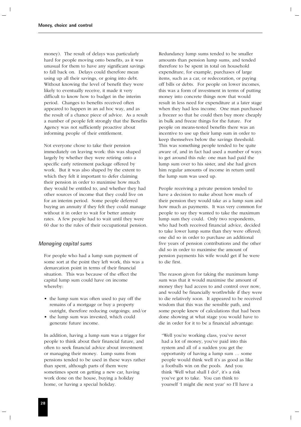money). The result of delays was particularly hard for people moving onto benefits, as it was unusual for them to have any significant savings to fall back on. Delays could therefore mean using up all their savings, or going into debt. Without knowing the level of benefit they were likely to eventually receive, it made it very difficult to know how to budget in the interim period. Changes to benefits received often appeared to happen in an ad hoc way, and as the result of a chance piece of advice. As a result a number of people felt strongly that the Benefits Agency was not sufficiently proactive about informing people of their entitlement.

Not everyone chose to take their pension immediately on leaving work: this was shaped largely by whether they were retiring onto a specific early retirement package offered by work. But it was also shaped by the extent to which they felt it important to defer claiming their pension in order to maximise how much they would be entitled to, and whether they had other sources of income that they could live on for an interim period. Some people deferred buying an annuity if they felt they could manage without it in order to wait for better annuity rates. A few people had to wait until they were 60 due to the rules of their occupational pension.

#### *Managing capital sums*

For people who had a lump sum payment of some sort at the point they left work, this was a demarcation point in terms of their financial situation. This was because of the effect the capital lump sum could have on income whereby:

- the lump sum was often used to pay off the remains of a mortgage or buy a property outright, therefore reducing outgoings; and/or
- the lump sum was invested, which could generate future income.

In addition, having a lump sum was a trigger for people to think about their financial future, and often to seek financial advice about investment or managing their money. Lump sums from pensions tended to be used in these ways rather than spent, although parts of them were sometimes spent on getting a new car, having work done on the house, buying a holiday home, or having a special holiday.

Redundancy lump sums tended to be smaller amounts than pension lump sums, and tended therefore to be spent in total on household expenditure, for example, purchases of large items, such as a car, or redecoration, or paying off bills or debts. For people on lower incomes, this was a form of investment in terms of putting money into concrete things now that would result in less need for expenditure at a later stage when they had less income. One man purchased a freezer so that he could then buy more cheaply in bulk and freeze things for the future. For people on means-tested benefits there was an incentive to use up their lump sum in order to keep themselves below the savings threshold. This was something people tended to be quite aware of, and in fact had used a number of ways to get around this rule: one man had paid the lump sum over to his sister, and she had given him regular amounts of income in return until the lump sum was used up.

People receiving a private pension tended to have a decision to make about how much of their pension they would take as a lump sum and how much as payments. It was very common for people to say they wanted to take the maximum lump sum they could. Only two respondents, who had both received financial advice, decided to take lower lump sums than they were offered; one did so in order to purchase an additional five years of pension contributions and the other did so in order to maximise the amount of pension payments his wife would get if he were to die first.

The reason given for taking the maximum lump sum was that it would maximise the amount of money they had access to and control over now, and would be financially worthwhile if they were to die relatively soon. It appeared to be received wisdom that this was the sensible path, and some people knew of calculations that had been done showing at what stage you would have to die in order for it to be a financial advantage:

"Well you're working class, you've never had a lot of money, you've paid into this system and all of a sudden you get the opportunity of having a lump sum … some people would think well it's as good as like a footballs win on the pools. And you think 'Well what shall I do?', it's a risk you've got to take. You can think to yourself 'I might die next year' so I'll have a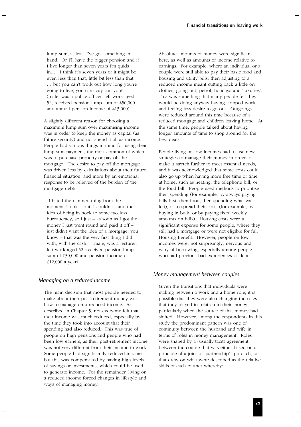lump sum, at least I've got something in hand. Or I'll have the bigger pension and if I live longer than seven years I'm quids in.… I think it's seven years or it might be even less than that, little bit less than that … but you can't work out how long you're going to live, you can't say can you?" (male, was a police officer, left work aged 52, received pension lump sum of £50,000 and annual pension income of £13,000)

A slightly different reason for choosing a maximum lump sum over maximising income was in order to keep the money as capital (as future security) and not spend it all as income. People had various things in mind for using their lump sum payment, the most common of which was to purchase property or pay off the mortgage. The desire to pay off the mortgage was driven less by calculations about their future financial situation, and more by an emotional response to be relieved of the burden of the mortgage debt:

"I hated the damned thing from the moment I took it out, I couldn't stand the idea of being in hock to some faceless bureaucracy, so I just – as soon as I got the money I just went round and paid it off – just didn't want the idea of a mortgage, you know – that was the very first thing I did with, with the cash." (male, was a lecturer, left work aged 52, received pension lump sum of £30,000 and pension income of £12,000 a year)

## *Managing on a reduced income*

The main decision that most people needed to make about their post-retirement money was how to manage on a reduced income. As described in Chapter 5, not everyone felt that their income was much reduced, especially by the time they took into account that their spending had also reduced. This was true of people on high pensions and people who had been low earners, as their post-retirement income was not very different from their income in work. Some people had significantly reduced income, but this was compensated by having high levels of savings or investments, which could be used to generate income. For the remainder, living on a reduced income forced changes in lifestyle and ways of managing money.

Absolute amounts of money were significant here, as well as amounts of income relative to earnings. For example, where an individual or a couple were still able to pay their basic food and housing and utility bills, then adjusting to a reduced income meant cutting back a little on clothes, going out, petrol, holidays and 'luxuries'. This was something that many people felt they would be doing anyway having stopped work and feeling less desire to go out. Outgoings were reduced around this time because of a reduced mortgage and children leaving home. At the same time, people talked about having longer amounts of time to shop around for the best deals.

People living on low incomes had to use new strategies to manage their money in order to make it stretch further to meet essential needs, and it was acknowledged that some costs could also go up when having more free time or time at home, such as heating, the telephone bill, or the food bill. People used methods to prioritise their spending (for example, by always paying bills first, then food, then spending what was left), or to spread their costs (for example, by buying in bulk, or by paying fixed weekly amounts on bills). Housing costs were a significant expense for some people, where they still had a mortgage or were not eligible for full Housing Benefit. However, people on low incomes were, not surprisingly, nervous and wary of borrowing, especially among people who had previous bad experiences of debt.

#### *Money management between couples*

Given the transitions that individuals were making between a work and a home role, it is possible that they were also changing the roles that they played in relation to their money, particularly when the source of that money had shifted. However, among the respondents in this study the predominant pattern was one of continuity between the husband and wife in terms of roles in money management. Roles were shaped by a (usually tacit) agreement between the couple that was either based on a principle of a joint or 'partnership' approach, or that drew on what were described as the relative skills of each partner whereby: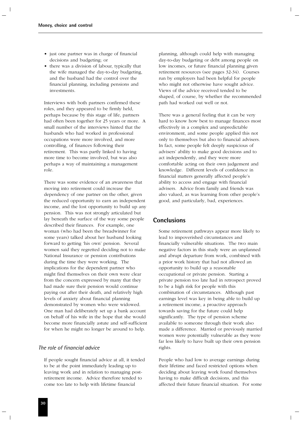- just one partner was in charge of financial decisions and budgeting; or
- there was a division of labour, typically that the wife managed the day-to-day budgeting, and the husband had the control over the financial planning, including pensions and investments.

Interviews with both partners confirmed these roles, and they appeared to be firmly held, perhaps because by this stage of life, partners had often been together for 25 years or more. A small number of the interviews hinted that the husbands who had worked in professional occupations were more involved, and more controlling, of finances following their retirement. This was partly linked to having more time to become involved, but was also perhaps a way of maintaining a management role.

There was some evidence of an awareness that moving into retirement could increase the dependency of one partner on the other, given the reduced opportunity to earn an independent income, and the lost opportunity to build up any pension. This was not strongly articulated but lay beneath the surface of the way some people described their finances. For example, one woman (who had been the breadwinner for some years) talked about her husband looking forward to getting 'his own' pension. Several women said they regretted deciding not to make National Insurance or pension contributions during the time they were working. The implications for the dependent partner who might find themselves on their own were clear from the concern expressed by many that they had made sure their pension would continue paying out after their death, and relatively high levels of anxiety about financial planning demonstrated by women who were widowed. One man had deliberately set up a bank account on behalf of his wife in the hope that she would become more financially astute and self-sufficient for when he might no longer be around to help.

### *The role of financial advice*

If people sought financial advice at all, it tended to be at the point immediately leading up to leaving work and in relation to managing postretirement income. Advice therefore tended to come too late to help with lifetime financial

planning, although could help with managing day-to-day budgeting or debt among people on low incomes, or future financial planning given retirement resources (see pages 32-34). Courses run by employers had been helpful for people who might not otherwise have sought advice. Views of the advice received tended to be shaped, of course, by whether the recommended path had worked out well or not.

There was a general feeling that it can be very hard to know how best to manage finances most effectively in a complex and unpredictable environment, and some people applied this not only to themselves but also to financial advisers. In fact, some people felt deeply suspicious of advisers' ability to make good decisions and to act independently, and they were more comfortable acting on their own judgement and knowledge. Different levels of confidence in financial matters generally affected people's ability to access and engage with financial advisers. Advice from family and friends was also valued, as was learning from other people's good, and particularly, bad, experiences.

# **Conclusions**

Some retirement pathways appear more likely to lead to impoverished circumstances and financially vulnerable situations. The two main negative factors in this study were an unplanned and abrupt departure from work, combined with a prior work history that had not allowed an opportunity to build up a reasonable occupational or private pension. Starting a private pension too late had in retrospect proved to be a high risk for people with this combination of circumstances. Although past earnings level was key in being able to build up a retirement income, a proactive approach towards saving for the future could help significantly. The type of pension scheme available to someone through their work also made a difference. Married or previously married women were potentially vulnerable as they were far less likely to have built up their own pension rights.

People who had low to average earnings during their lifetime and faced restricted options when deciding about leaving work found themselves having to make difficult decisions, and this affected their future financial situation. For some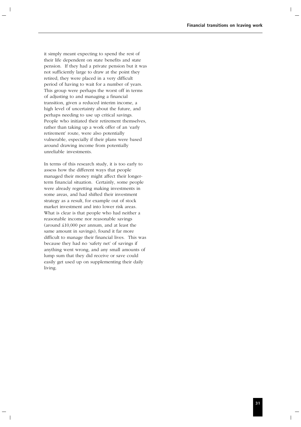it simply meant expecting to spend the rest of their life dependent on state benefits and state pension. If they had a private pension but it was not sufficiently large to draw at the point they retired, they were placed in a very difficult period of having to wait for a number of years. This group were perhaps the worst off in terms of adjusting to and managing a financial transition, given a reduced interim income, a high level of uncertainty about the future, and perhaps needing to use up critical savings. People who initiated their retirement themselves, rather than taking up a work offer of an 'early retirement' route, were also potentially vulnerable, especially if their plans were based around drawing income from potentially unreliable investments.

In terms of this research study, it is too early to assess how the different ways that people managed their money might affect their longerterm financial situation. Certainly, some people were already regretting making investments in some areas, and had shifted their investment strategy as a result, for example out of stock market investment and into lower risk areas. What is clear is that people who had neither a reasonable income nor reasonable savings (around £10,000 per annum, and at least the same amount in savings), found it far more difficult to manage their financial lives. This was because they had no 'safety net' of savings if anything went wrong, and any small amounts of lump sum that they did receive or save could easily get used up on supplementing their daily living.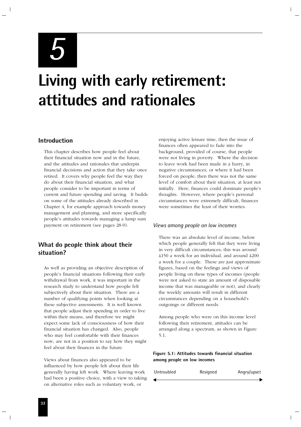*5*

# **Living with early retirement: attitudes and rationales**

# **Introduction**

This chapter describes how people feel about their financial situation now and in the future, and the attitudes and rationales that underpin financial decisions and action that they take once retired. It covers why people feel the way they do about their financial situation, and what people consider to be important in terms of current and future spending and saving. It builds on some of the attitudes already described in Chapter 4, for example approach towards money management and planning, and more specifically people's attitudes towards managing a lump sum payment on retirement (see pages 28-9).

# **What do people think about their situation?**

As well as providing an objective description of people's financial situations following their early withdrawal from work, it was important in the research study to understand how people felt subjectively about their situation. There are a number of qualifying points when looking at these subjective assessments. It is well known that people adjust their spending in order to live within their means, and therefore we might expect some lack of consciousness of how their financial situation has changed. Also, people who may feel comfortable with their finances now, are not in a position to say how they might feel about their finances in the future.

Views about finances also appeared to be influenced by how people felt about their life generally having left work. Where leaving work had been a positive choice, with a view to taking on alternative roles such as voluntary work, or

enjoying active leisure time, then the issue of finances often appeared to fade into the background, provided of course, that people were not living in poverty. Where the decision to leave work had been made in a hurry, in negative circumstances, or where it had been forced on people, then there was not the same level of comfort about their situation, at least not initially. Here, finances could dominate people's thoughts. However, where people's personal circumstances were extremely difficult, finances were sometimes the least of their worries.

### *Views among people on low incomes*

There was an absolute level of income, below which people generally felt that they were living in very difficult circumstances; this was around £150 a week for an individual, and around £200 a week for a couple. These are just approximate figures, based on the feelings and views of people living on these types of incomes (people were not asked to state an amount of disposable income that was manageable or not), and clearly the weekly amounts will result in different circumstances depending on a household's outgoings or different needs.

Among people who were on this income level following their retirement, attitudes can be arranged along a spectrum, as shown in Figure 5.1.

**Figure 5.1: Attitudes towards financial situation among people on low incomes**

| Untroubled | Resigned | Angry/upset |
|------------|----------|-------------|
|            |          |             |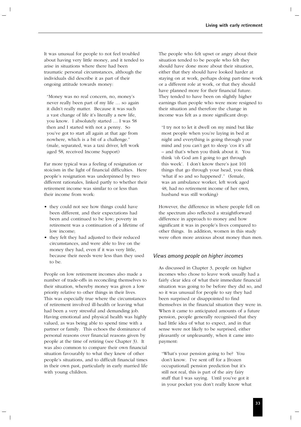It was unusual for people to not feel troubled about having very little money, and it tended to arise in situations where there had been traumatic personal circumstances, although the individuals did describe it as part of their ongoing attitude towards money:

"Money was no real concern, no, money's never really been part of my life … so again it didn't really matter. Because it was such a vast change of life it's literally a new life, you know. I absolutely started … I was 58 then and I started with not a penny. So you've got to start all again at that age from nowhere, which is a bit of a challenge." (male, separated, was a taxi driver, left work aged 58, received Income Support)

Far more typical was a feeling of resignation or stoicism in the light of financial difficulties. Here people's resignation was underpinned by two different rationales, linked partly to whether their retirement income was similar to or less than their income from work:

- they could not see how things could have been different, and their expectations had been and continued to be low; poverty in retirement was a continuation of a lifetime of low income;
- they felt they had adjusted to their reduced circumstances, and were able to live on the money they had, even if it was very little, because their needs were less than they used to be.

People on low retirement incomes also made a number of trade-offs in reconciling themselves to their situation, whereby money was given a low priority relative to other things in their lives. This was especially true where the circumstances of retirement involved ill-health or leaving what had been a very stressful and demanding job. Having emotional and physical health was highly valued, as was being able to spend time with a partner or family. This echoes the dominance of personal reasons over financial reasons given by people at the time of retiring (see Chapter 3). It was also common to compare their own financial situation favourably to what they knew of other people's situations, and to difficult financial times in their own past, particularly in early married life with young children.

The people who felt upset or angry about their situation tended to be people who felt they should have done more about their situation, either that they should have looked harder at staying on at work, perhaps doing part-time work or a different role at work, or that they should have planned more for their financial future. They tended to have been on slightly higher earnings than people who were more resigned to their situation and therefore the change in income was felt as a more significant drop:

"I try not to let it dwell on my mind but like most people when you're laying in bed at night and everything is going through your mind and you can't get to sleep 'cos it's all – and that's when you think about it. You think 'oh God am I going to get through this week'. I don't know there's just 101 things that go through your head, you think 'what if so and so happened'." (female, was an ambulance worker, left work aged 48, had no retirement income of her own, husband was still working)

However, the difference in where people fell on the spectrum also reflected a straightforward difference in approach to money and how significant it was in people's lives compared to other things. In addition, women in this study were often more anxious about money than men.

### *Views among people on higher incomes*

As discussed in Chapter 3, people on higher incomes who chose to leave work usually had a fairly clear idea of what their immediate financial situation was going to be before they did so, and so it was unusual for people to say they had been surprised or disappointed to find themselves in the financial situation they were in. When it came to anticipated amounts of a future pension, people generally recognised that they had little idea of what to expect, and in that sense were not likely to be surprised, either pleasantly or unpleasantly, when it came into payment:

"What's your pension going to be? You don't know. I've sent off for a [frozen occupational] pension prediction but it's still not real, this is part of the airy fairy stuff that I was saying. Until you've got it in your pocket you don't really know what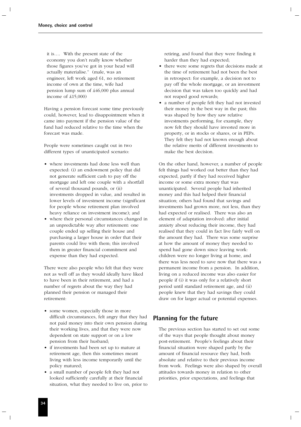it is…. With the present state of the economy you don't really know whether those figures you've got in your head will actually materialise." (male, was an engineer, left work aged 61, no retirement income of own at the time, wife had pension lump sum of £46,000 plus annual income of £15,000)

Having a pension forecast some time previously could, however, lead to disappointment when it came into payment if the pension value of the fund had reduced relative to the time when the forecast was made.

People were sometimes caught out in two different types of unanticipated scenario:

- where investments had done less well than expected: (i) an endowment policy that did not generate sufficient cash to pay off the mortgage and left one couple with a shortfall of several thousand pounds, or (ii) investments dropped in value, and resulted in lower levels of investment income (significant for people whose retirement plan involved heavy reliance on investment income); and
- where their personal circumstances changed in an unpredictable way after retirement: one couple ended up selling their house and purchasing a larger house in order that their parents could live with them; this involved them in greater financial commitment and expense than they had expected.

There were also people who felt that they were not as well off as they would ideally have liked to have been in their retirement, and had a number of regrets about the way they had planned their pension or managed their retirement:

- some women, especially those in more difficult circumstances, felt angry that they had not paid money into their own pension during their working lives, and that they were now dependent on state support or on a low pension from their husband;
- if investments had been set up to mature at retirement age, then this sometimes meant living with less income temporarily until the policy matured;
- a small number of people felt they had not looked sufficiently carefully at their financial situation, what they needed to live on, prior to

retiring, and found that they were finding it harder than they had expected;

- there were some regrets that decisions made at the time of retirement had not been the best in retrospect: for example, a decision not to pay off the whole mortgage, or an investment decision that was taken too quickly and had not reaped good rewards;
- a number of people felt they had not invested their money in the best way in the past; this was shaped by how they saw relative investments performing, for example, they now felt they should have invested more in property, or in stocks or shares, or in PEPs. They felt they had not known enough about the relative merits of different investments to make the best decision.

On the other hand, however, a number of people felt things had worked out better than they had expected, partly if they had received higher income or some extra money that was unanticipated. Several people had inherited money and this had helped their financial situation; others had found that savings and investments had grown more, not less, than they had expected or realised. There was also an element of adaptation involved: after initial anxiety about reducing their income, they had realised that they could in fact live fairly well on the amount they had. There was some surprise at how the amount of money they needed to spend had gone down since leaving work: children were no longer living at home, and there was less need to save now that there was a permanent income from a pension. In addition, living on a reduced income was also easier for people if (i) it was only for a relatively short period until standard retirement age, and (ii) people knew that they had savings they could draw on for larger actual or potential expenses.

# **Planning for the future**

The previous section has started to set out some of the ways that people thought about money post-retirement. People's feelings about their financial situation were shaped partly by the amount of financial resource they had, both absolute and relative to their previous income from work. Feelings were also shaped by overall attitudes towards money in relation to other priorities, prior expectations, and feelings that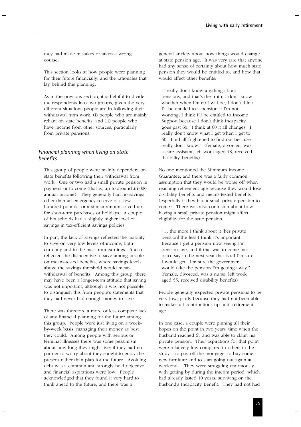they had made mistakes or taken a wrong course.

This section looks at how people were planning for their future financially, and the rationales that lay behind this planning.

As in the previous section, it is helpful to divide the respondents into two groups, given the very different situations people are in following their withdrawal from work: (i) people who are mainly reliant on state benefits, and (ii) people who have income from other sources, particularly from private pensions.

# *Financial planning when living on state benefits*

This group of people were mainly dependent on state benefits following their withdrawal from work. One or two had a small private pension in payment or to come (that is, up to around £4,000 annual income). They generally had no savings other than an emergency reserve of a few hundred pounds, or a similar amount saved up for short-term purchases or holidays. A couple of households had a slightly higher level of savings in tax-efficient savings policies.

In part, the lack of savings reflected the inability to save on very low levels of income, both currently and in the past from earnings. It also reflected the disincentive to save among people on means-tested benefits, where savings levels above the savings threshold would mean withdrawal of benefits. Among this group, there may have been a longer-term attitude that saving was not important, although it was not possible to distinguish this from people's statements that they had never had enough money to save.

There was therefore a more or less complete lack of any financial planning for the future among this group. People were just living on a weekby-week basis, managing their money as best they could. Among people with serious or terminal illnesses there was some pessimism about how long they might live; if they had no partner to worry about they sought to enjoy the present rather than plan for the future. Avoiding debt was a common and strongly held objective, and financial aspirations were low. People acknowledged that they found it very hard to think ahead to the future, and there was a

general anxiety about how things would change at state pension age. It was very rare that anyone had any sense of certainty about how much state pension they would be entitled to, and how that would affect other benefits:

"I really don't know anything about pensions, and that's the truth, I don't know whether when I'm 60 I will be, I don't think I'll be entitled to a pension if I'm not working, I think I'll be entitled to Income Support because I don't think Incapacity goes past 60. I think at 60 it all changes. I really don't know what I get when I get to 60. I'm half frightened to find out because I really don't know." (female, divorced, was a care assistant, left work aged 48, received disability benefits)

No one mentioned the Minimum Income Guarantee, and there was a fairly common assumption that they would be worse off when reaching retirement age because they would lose disability benefits and means-tested benefits (especially if they had a small private pension to come). There was also confusion about how having a small private pension might affect eligibility for the state pension:

"… the more I think about it [her private pension] the less I think it's important. Because I get a pension now seeing I'm pension age, and if that was to come into place say in the next year that is all I'm sure I would get. I'm sure the government would take the pension I'm getting away." (female, divorced, was a nurse, left work aged 55, received disability benefits)

People generally expected private pensions to be very low, partly because they had not been able to make full contributions up until retirement age.

In one case, a couple were pinning all their hopes on the point in two years' time when the husband reached 65 and was able to claim his private pension. Their aspirations for that point were relatively low compared to others in the study – to pay off the mortgage, to buy some new furniture and to start going out again at weekends. They were struggling enormously with getting by during the interim period, which had already lasted 10 years, surviving on the husband's Incapacity Benefit. They had not had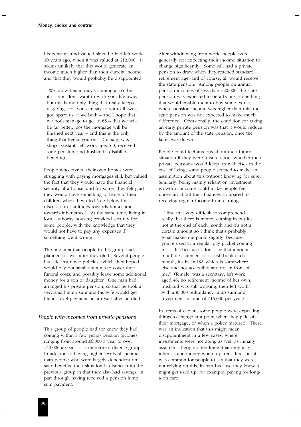his pension fund valued since he had left work 10 years ago, when it was valued at £12,000. It seems unlikely that this would generate an income much higher than their current income, and that they would probably be disappointed:

"We know this money's coming at 65, but it's – you don't want to wish your life away, but this is the only thing that really keeps us going, 'cos you can say to yourself, well, god spare us, if we both – and I hope that we both manage to get to 65 – that we will be far better, 'cos the mortgage will be finished next year – and this is the only thing that keeps you on." (female, was a shop assistant, left work aged 60, received state pension, and husband's disability benefits)

People who owned their own homes were struggling with paying mortgages still, but valued the fact that they would have the financial security of a house, and for some, they felt glad they would have something to leave to their children when they died (see below for discussion of attitudes towards homes and towards inheritance). At the same time, living in local authority housing provided security for some people, with the knowledge that they would not have to pay any expenses if something went wrong.

The one area that people in this group had planned for was after they died. Several people had life insurance policies, which they hoped would pay out small amounts to cover their funeral costs, and possibly leave some additional money for a son or daughter. One man had arranged his private pension, so that he took a very small lump sum and his wife would get higher-level payments as a result after he died.

#### *People with incomes from private pensions*

This group of people had (or knew they had coming within a few years) pension incomes ranging from around £6,000 a year to over  $\pounds40,000$  a year – it is therefore a diverse group. In addition to having higher levels of income than people who were largely dependent on state benefits, their situation is distinct from the previous group in that they also had savings, in part through having received a pension lump sum payment.

After withdrawing from work, people were generally not expecting their income situation to change significantly. Some still had a private pension to draw when they reached standard retirement age, and of course, all would receive the state pension. Among people on annual pension incomes of less than £20,000, the state pension was expected to be a bonus, something that would enable them to buy some extras; where pension income was higher than this, the state pension was not expected to make much difference. Occasionally, the condition for taking an early private pension was that it would reduce by the amount of the state pension, once the latter was drawn.

People could feel anxious about their future situation if they were unsure about whether their private pensions would keep up with rises in the cost of living; some people seemed to make an assumption about this without knowing for sure. Similarly, being mainly reliant on investment growth or income could make people feel uncertain about their finances compared to receiving regular income from earnings:

"I find that very difficult to comprehend really that there is money coming in but it's not at the end of each month and it's not a certain amount so I think that's probably what makes me panic slightly, because you're used to a regular pay packet coming in…. It's because I don't see that amount in a little statement or a cash book each month, it's in an ISA which is somewhere else and not accessible and not in front of me." (female, was a secretary, left work aged 46, no retirement income of her own, husband was still working, then left work with £30,000 redundancy lump sum and investment income of £15,000 per year)

In terms of capital, some people were expecting things to change at a point when they paid off their mortgage, or when a policy matured. There was an indication that this might mean disappointment in a few cases, where investments were not doing as well as initially assumed. People often knew that they may inherit some money when a parent died, but it was common for people to say that they were not relying on this, in part because they knew it might get used up, for example, paying for longterm care.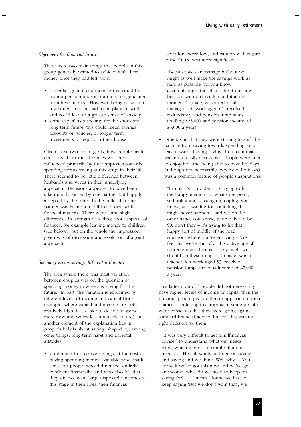#### *Objectives for financial future*

There were two main things that people in this group generally wanted to achieve with their money once they had left work:

- a regular, guaranteed income: this could be from a pension and/or from income generated from investments. However, being reliant on investment income had to be planned well, and could lead to a greater sense of anxiety;
- some capital as a security for the short- and long-term future: this could mean savings accounts or policies, or longer-term investments, or equity in their house.

Given these two broad goals, how people made decisions about their finances was then influenced primarily by their approach towards spending versus saving at this stage in their life. There seemed to be little difference between husbands and wives in their underlying approach. Decisions appeared to have been taken jointly, or led by one partner but happily accepted by the other, in the belief that one partner was far more qualified to deal with financial matters. There were some slight differences in strength of feeling about aspects of finances, for example leaving money to children (see below), but on the whole the impression given was of discussion and evolution of a joint approach.

#### *Spending versus saving: different rationales*

The area where there was most variation between couples was on the question of spending money now versus saving for the future. In part, the variation is explained by different levels of income and capital (for example, where capital and income are both relatively high, it is easier to decide to spend more now and worry less about the future), but another element of the explanation lies in people's beliefs about saving, shaped by, among other things, long-term habit and parental attitudes.

• Continuing to preserve savings, at the cost of having spending money available now, made sense for people who did not feel entirely confident financially, and who also felt that they did not want large disposable incomes at this stage in their lives; their financial

aspirations were low, and caution with regard to the future was more significant:

"Because we can manage without we might as well make the savings work as hard as possible by, you know accumulating rather than take it out now because we don't really need it at the moment." (male, was a technical manager, left work aged 61, received redundancy and pension lump sums totalling £25,000 and pension income of £3,000 a year)

• Others said that they were starting to shift the balance from saving towards spending, or at least towards having savings in a form that was more easily accessible. People were keen to enjoy life, and being able to have holidays (although not necessarily expensive holidays) was a common feature of people's aspirations:

"I think it's a problem, it's trying to hit the happy medium … what's the point, scrimping and scrounging, coping, you know, and waiting for something that might never happen – and yet on the other hand, you know, people live to be 90, don't they – it's trying to hit that happy sort of middle of the road situation, where you're enjoying – 'cos I feel that we're sort of at this active age of retirement and I think – I say, well, we should do these things." (female, was a teacher, left work aged 53, received pension lump sum plus income of £7,000 a year)

This latter group of people did not necessarily have higher levels of income or capital than the previous group, just a different approach to their finances. In taking this approach, some people were conscious that they were going against standard financial advice, but felt this was the right decision for them:

"It was very difficult to get him [financial adviser] to understand what our needs were, which were a lot simpler than his needs…. He still wants us to go on saving and saving and we think 'Well why?'. You know if we've got this now and we've got an income, what do we need to keep on saving for?…. I mean I found we had to keep saying 'But we don't want that', we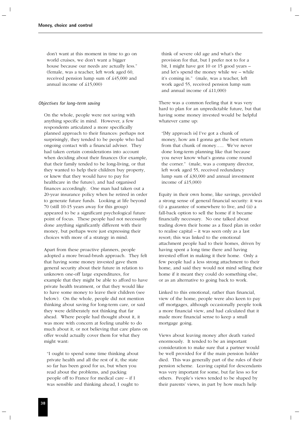don't want at this moment in time to go on world cruises, we don't want a bigger house because our needs are actually less." (female, was a teacher, left work aged 60, received pension lump sum of £45,000 and annual income of £15,000)

#### *Objectives for long-term saving*

On the whole, people were not saving with anything specific in mind. However, a few respondents articulated a more specifically planned approach to their finances: perhaps not surprisingly, they tended to be people who had ongoing contact with a financial adviser. They had taken certain considerations into account when deciding about their finances (for example, that their family tended to be long-living, or that they wanted to help their children buy property, or knew that they would have to pay for healthcare in the future), and had organised finances accordingly. One man had taken out a 20-year insurance policy when he retired in order to generate future funds. Looking at life beyond 70 (still 10-15 years away for this group) appeared to be a significant psychological future point of focus. These people had not necessarily done anything significantly different with their money, but perhaps were just expressing their choices with more of a strategy in mind.

Apart from these proactive planners, people adopted a more broad-brush approach. They felt that having some money invested gave them general security about their future in relation to unknown one-off large expenditures, for example that they might be able to afford to have private health treatment, or that they would like to have some money to leave their children (see below). On the whole, people did not mention thinking about saving for long-term care, or said they were deliberately not thinking that far ahead. Where people had thought about it, it was more with concern at feeling unable to do much about it, or not believing that care plans on offer would actually cover them for what they might want:

"I ought to spend some time thinking about private health and all the rest of it, the state so far has been good for us, but when you read about the problems, and packing people off to France for medical care – if I was sensible and thinking ahead, I ought to

think of severe old age and what's the provision for that, but I prefer not to for a bit, I might have got 10 or 15 good years – and let's spend the money while we – while it's coming in." (male, was a teacher, left work aged 55, received pension lump sum and annual income of £11,000)

There was a common feeling that it was very hard to plan for an unpredictable future, but that having some money invested would be helpful whatever came up:

"[My approach is] I've got a chunk of money, how am I gonna get the best return from that chunk of money….. We've never done long-term planning like that because you never know what's gonna come round the corner." (male, was a company director, left work aged 55, received redundancy lump sum of £30,000 and annual investment income of £15,000)

Equity in their own home, like savings, provided a strong sense of general financial security: it was (i) a guarantee of somewhere to live, and (ii) a fall-back option to sell the home if it became financially necessary. No one talked about trading down their home as a fixed plan in order to realise capital – it was seen only as a last resort; this was linked to the emotional attachment people had to their homes, driven by having spent a long time there and having invested effort in making it their home. Only a few people had a less strong attachment to their home, and said they would not mind selling their home if it meant they could do something else, or as an alternative to going back to work.

Linked to this emotional, rather than financial, view of the home, people were also keen to pay off mortgages, although occasionally people took a more financial view, and had calculated that it made more financial sense to keep a small mortgage going.

Views about leaving money after death varied enormously. It tended to be an important consideration to make sure that a partner would be well provided for if the main pension holder died. This was generally part of the rules of their pension scheme. Leaving capital for descendants was very important for some, but far less so for others. People's views tended to be shaped by their parents' views, in part by how much help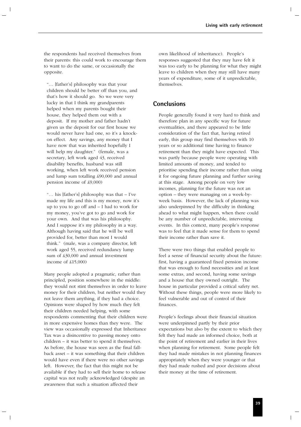the respondents had received themselves from their parents: this could work to encourage them to want to do the same, or occasionally the opposite.

"… [father's] philosophy was that your children should be better off than you, and that's how it should go. So we were very lucky in that I think my grandparents helped when my parents bought their house, they helped them out with a deposit. If my mother and father hadn't given us the deposit for our first house we would never have had one, so it's a knockon effect. Any savings, any money that I have now that was inherited hopefully I will help my daughter." (female, was a secretary, left work aged 43, received disability benefits, husband was still working, when left work received pension and lump sum totalling £90,000 and annual pension income of £9,000)

"… his [father's] philosophy was that – I've made my life and this is my money, now it's up to you to go off and – I had to work for my money, you've got to go and work for your own. And that was his philosophy. And I suppose it's my philosophy in a way. Although having said that he will be well provided for, better than most I would think." (male, was a company director, left work aged 55, received redundancy lump sum of £30,000 and annual investment income of £15,000)

Many people adopted a pragmatic, rather than principled, position somewhere in the middle: they would not stint themselves in order to leave money for their children, but neither would they not leave them anything, if they had a choice. Opinions were shaped by how much they felt their children needed helping, with some respondents commenting that their children were in more expensive homes than they were. The view was occasionally expressed that Inheritance Tax was a disincentive to passing money onto children – it was better to spend it themselves. As before, the house was seen as the final fallback asset – it was something that their children would have even if there were no other savings left. However, the fact that this might not be available if they had to sell their home to release capital was not really acknowledged (despite an awareness that such a situation affected their

own likelihood of inheritance). People's responses suggested that they may have felt it was too early to be planning for what they might leave to children when they may still have many years of expenditure, some of it unpredictable, themselves.

# **Conclusions**

People generally found it very hard to think and therefore plan in any specific way for future eventualities, and there appeared to be little consideration of the fact that, having retired early, this group may find themselves with 10 years or so additional time having to finance retirement than they might have expected. This was partly because people were operating with limited amounts of money, and tended to prioritise spending their income rather than using it for ongoing future planning and further saving at this stage. Among people on very low incomes, planning for the future was not an option – they were managing on a week-byweek basis. However, the lack of planning was also underpinned by the difficulty in thinking ahead to what might happen, when there could be any number of unpredictable, intervening events. In this context, many people's response was to feel that it made sense for them to spend their income rather than save it.

There were two things that enabled people to feel a sense of financial security about the future: first, having a guaranteed fixed pension income that was enough to fund necessities and at least some extras, and second, having some savings and a house that they owned outright. The house in particular provided a critical safety net. Without these things, people were more likely to feel vulnerable and out of control of their finances.

People's feelings about their financial situation were underpinned partly by their prior expectations but also by the extent to which they felt they had made an informed choice, both at the point of retirement and earlier in their lives when planning for retirement. Some people felt they had made mistakes in not planning finances appropriately when they were younger or that they had made rushed and poor decisions about their money at the time of retirement.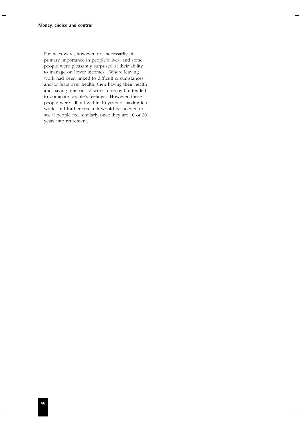Finances were, however, not necessarily of primary importance in people's lives, and some people were pleasantly surprised at their ability to manage on lower incomes. Where leaving work had been linked to difficult circumstances, and/or fears over health, then having their health and having time out of work to enjoy life tended to dominate people's feelings. However, these people were still all within 10 years of having left work, and further research would be needed to see if people feel similarly once they are 10 or 20 years into retirement.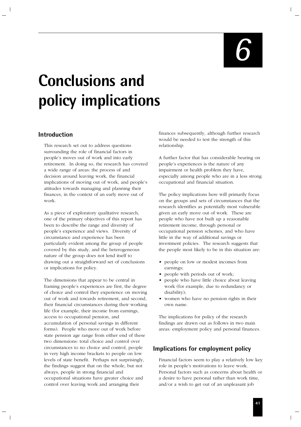# **Conclusions and policy implications**

# **Introduction**

This research set out to address questions surrounding the role of financial factors in people's moves out of work and into early retirement. In doing so, the research has covered a wide range of areas: the process of and decision around leaving work, the financial implications of moving out of work, and people's attitudes towards managing and planning their finances, in the context of an early move out of work.

As a piece of exploratory qualitative research, one of the primary objectives of this report has been to describe the range and diversity of people's experience and views. Diversity of circumstance and experience has been particularly evident among the group of people covered by this study, and the heterogeneous nature of the group does not lend itself to drawing out a straightforward set of conclusions or implications for policy.

The dimensions that appear to be central in framing people's experiences are first, the degree of choice and control they experience on moving out of work and towards retirement, and second, their financial circumstances during their working life (for example, their income from earnings, access to occupational pension, and accumulation of personal savings in different forms). People who move out of work before state pension age range from either end of these two dimensions: total choice and control over circumstances to no choice and control, people in very high income brackets to people on low levels of state benefit. Perhaps not surprisingly, the findings suggest that on the whole, but not always, people in strong financial and occupational situations have greater choice and control over leaving work and arranging their

finances subsequently, although further research would be needed to test the strength of this relationship.

A further factor that has considerable bearing on people's experiences is the nature of any impairment or health problem they have, especially among people who are in a less strong occupational and financial situation.

The policy implications here will primarily focus on the groups and sets of circumstances that the research identifies as potentially most vulnerable given an early move out of work. These are people who have not built up a reasonable retirement income, through personal or occupational pension schemes, and who have little in the way of additional savings or investment policies. The research suggests that the people most likely to be in this situation are:

- people on low or modest incomes from earnings;
- people with periods out of work;
- people who have little choice about leaving work (for example, due to redundancy or disability);
- women who have no pension rights in their own name.

The implications for policy of the research findings are drawn out as follows in two main areas: employment policy and personal finances.

# **Implications for employment policy**

Financial factors seem to play a relatively low key role in people's motivations to leave work. Personal factors such as concerns about health or a desire to have personal rather than work time, and/or a wish to get out of an unpleasant job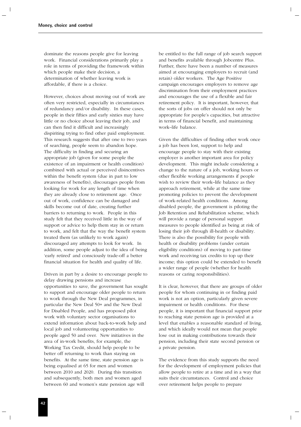dominate the reasons people give for leaving work. Financial considerations primarily play a role in terms of providing the framework within which people make their decision, a determination of whether leaving work is affordable, if there is a choice.

However, choices about moving out of work are often very restricted, especially in circumstances of redundancy and/or disability. In these cases, people in their fifties and early sixties may have little or no choice about leaving their job, and can then find it difficult and increasingly dispiriting trying to find other paid employment. This research suggests that after one to two years of searching, people seem to abandon hope. The difficulty in finding and securing an appropriate job (given for some people the existence of an impairment or health condition) combined with actual or perceived disincentives within the benefit system (due in part to low awareness of benefits), discourages people from looking for work for any length of time when they are already close to retirement age. Once out of work, confidence can be damaged and skills become out of date, creating further barriers to returning to work. People in this study felt that they received little in the way of support or advice to help them stay in or return to work, and felt that the way the benefit system treated them (as unlikely to work again) discouraged any attempts to look for work. In addition, some people adjust to the idea of being 'early retired' and consciously trade-off a better financial situation for health and quality of life.

Driven in part by a desire to encourage people to delay drawing pensions and increase opportunities to save, the government has sought to support and encourage older people to return to work through the New Deal programmes, in particular the New Deal 50+ and the New Deal for Disabled People, and has proposed pilot work with voluntary sector organisations to extend information about back-to-work help and local job and volunteering opportunities to people aged 50 and over. New initiatives in the area of in-work benefits, for example, the Working Tax Credit, should help people to be better off returning to work than staying on benefits. At the same time, state pension age is being equalised at 65 for men and women between 2010 and 2020. During this transition and subsequently, both men and women aged between 60 and women's state pension age will

be entitled to the full range of job search support and benefits available through Jobcentre Plus. Further, there have been a number of measures aimed at encouraging employers to recruit (and retain) older workers. The Age Positive campaign encourages employers to remove age discrimination from their employment practices and encourages the use of a flexible and fair retirement policy. It is important, however, that the sorts of jobs on offer should not only be appropriate for people's capacities, but attractive in terms of financial benefit, and maintaining work–life balance.

Given the difficulties of finding other work once a job has been lost, support to help and encourage people to stay with their existing employer is another important area for policy development. This might include considering a change to the nature of a job, working hours or other flexible working arrangements if people wish to review their work–life balance as they approach retirement, while at the same time promoting policies to prevent the development of work-related health conditions. Among disabled people, the government is piloting the Job Retention and Rehabilitation scheme, which will provide a range of personal support measures to people identified as being at risk of losing their job through ill-health or disability. There is also the possibility for people with health or disability problems (under certain eligibility conditions) of moving to part-time work and receiving tax credits to top up their income; this option could be extended to benefit a wider range of people (whether for health reasons or caring responsibilities).

It is clear, however, that there are groups of older people for whom continuing in or finding paid work is not an option, particularly given severe impairment or health conditions. For these people, it is important that financial support prior to reaching state pension age is provided at a level that enables a reasonable standard of living, and which ideally would not mean that people lose out in making contributions towards their pension, including their state second pension or a private pension.

The evidence from this study supports the need for the development of employment policies that allow people to retire at a time and in a way that suits their circumstances. Control and choice over retirement helps people to prepare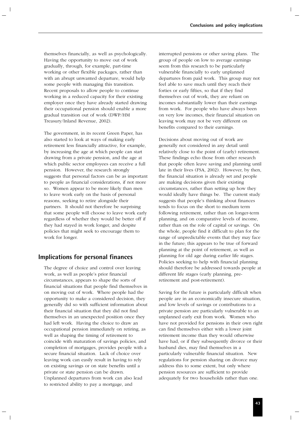themselves financially, as well as psychologically. Having the opportunity to move out of work gradually, through, for example, part-time working or other flexible packages, rather than with an abrupt unwanted departure, would help some people with managing this transition. Recent proposals to allow people to continue working in a reduced capacity for their existing employer once they have already started drawing their occupational pension should enable a more gradual transition out of work (DWP/HM Treasury/Inland Revenue, 2002).

The government, in its recent Green Paper, has also started to look at ways of making early retirement less financially attractive, for example, by increasing the age at which people can start drawing from a private pension, and the age at which public sector employees can receive a full pension. However, the research strongly suggests that personal factors can be as important to people as financial considerations, if not more so. Women appear to be more likely than men to leave work early on the basis of personal reasons, seeking to retire alongside their partners. It should not therefore be surprising that some people will choose to leave work early regardless of whether they would be better off if they had stayed in work longer, and despite policies that might seek to encourage them to work for longer.

# **Implications for personal finances**

The degree of choice and control over leaving work, as well as people's prior financial circumstances, appears to shape the sorts of financial situations that people find themselves in on moving out of work. Where people had the opportunity to make a considered decision, they generally did so with sufficient information about their financial situation that they did not find themselves in an unexpected position once they had left work. Having the choice to draw an occupational pension immediately on retiring, as well as shaping the timing of retirement to coincide with maturation of savings policies, and completion of mortgages, provides people with a secure financial situation. Lack of choice over leaving work can easily result in having to rely on existing savings or on state benefits until a private or state pension can be drawn. Unplanned departures from work can also lead to restricted ability to pay a mortgage, and

interrupted pensions or other saving plans. The group of people on low to average earnings seem from this research to be particularly vulnerable financially to early unplanned departures from paid work. This group may not feel able to save much until they reach their forties or early fifties, so that if they find themselves out of work, they are reliant on incomes substantially lower than their earnings from work. For people who have always been on very low incomes, their financial situation on leaving work may not be very different on benefits compared to their earnings.

Decisions about moving out of work are generally not considered in any detail until relatively close to the point of (early) retirement. These findings echo those from other research that people often leave saving and planning until late in their lives (FSA, 2002). However, by then, the financial situation is already set and people are making decisions given their existing circumstances, rather than setting up how they would ideally have things be. The current study suggests that people's thinking about finances tends to focus on the short to medium term following retirement, rather than on longer-term planning, and on comparative levels of income, rather than on the role of capital or savings. On the whole, people find it difficult to plan for the range of unpredictable events that they may face in the future; this appears to be true of forward planning at the point of retirement, as well as planning for old age during earlier life stages. Policies seeking to help with financial planning should therefore be addressed towards people at different life stages (early planning, preretirement and post-retirement).

Saving for the future is particularly difficult when people are in an economically insecure situation, and low levels of savings or contributions to a private pension are particularly vulnerable to an unplanned early exit from work. Women who have not provided for pensions in their own right can find themselves either with a lower joint retirement income than they would otherwise have had, or if they subsequently divorce or their husband dies, may find themselves in a particularly vulnerable financial situation. New regulations for pension sharing on divorce may address this to some extent, but only where pension resources are sufficient to provide adequately for two households rather than one.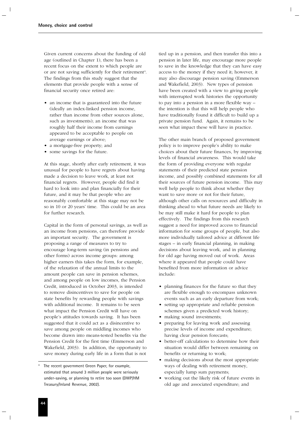Given current concerns about the funding of old age (outlined in Chapter 1), there has been a recent focus on the extent to which people are or are not saving sufficiently for their retirement<sup>4</sup>. The findings from this study suggest that the elements that provide people with a sense of financial security once retired are:

- an income that is guaranteed into the future (ideally an index-linked pension income, rather than income from other sources alone, such as investments); an income that was roughly half their income from earnings appeared to be acceptable to people on average earnings or above;
- a mortgage-free property; and
- some savings for the future.

At this stage, shortly after early retirement, it was unusual for people to have regrets about having made a decision to leave work, at least not financial regrets. However, people did find it hard to look into and plan financially for their future, and it may be that people who are reasonably comfortable at this stage may not be so in 10 or 20 years' time. This could be an area for further research.

Capital in the form of personal savings, as well as an income from pensions, can therefore provide an important security. The government is proposing a range of measures to try to encourage long-term saving (in pensions and other forms) across income groups: among higher earners this takes the form, for example, of the relaxation of the annual limits to the amount people can save in pension schemes, and among people on low incomes, the Pension Credit, introduced in October 2003, is intended to remove disincentives to save for people on state benefits by rewarding people with savings with additional income. It remains to be seen what impact the Pension Credit will have on people's attitudes towards saving. It has been suggested that it could act as a disincentive to save among people on middling incomes who become drawn into means-tested benefits via the Pension Credit for the first time (Emmerson and Wakefield, 2003). In addition, the opportunity to save money during early life in a form that is not

tied up in a pension, and then transfer this into a pension in later life, may encourage more people to save in the knowledge that they can have easy access to the money if they need it; however, it may also discourage pension saving (Emmerson and Wakefield, 2003). New types of pension have been created with a view to giving people with interrupted work histories the opportunity to pay into a pension in a more flexible way – the intention is that this will help people who have traditionally found it difficult to build up a private pension fund. Again, it remains to be seen what impact these will have in practice.

The other main branch of proposed government policy is to improve people's ability to make choices about their future finances, by improving levels of financial awareness. This would take the form of providing everyone with regular statements of their predicted state pension income, and possibly combined statements for all their sources of future pension income. This may well help people to think about whether they want to save more or not for their future, although other calls on resources and difficulty in thinking ahead to what future needs are likely to be may still make it hard for people to plan effectively. The findings from this research suggest a need for improved access to financial information for some groups of people, but also more individually tailored advice at different life stages – in early financial planning, in making decisions about leaving work, and in planning for old age having moved out of work. Areas where it appeared that people could have benefited from more information or advice include:

- planning finances for the future so that they are flexible enough to encompass unknown events such as an early departure from work;
- setting up appropriate and reliable pension schemes given a predicted work history;
- making sound investments;
- preparing for leaving work and assessing precise levels of income and expenditure; having clear pension forecasts;
- better-off calculations to determine how their situation would differ between remaining on benefits or returning to work;
- making decisions about the most appropriate ways of dealing with retirement money, especially lump sum payments;
- working out the likely risk of future events in old age and associated expenditure; and

The recent government Green Paper, for example, estimated that around 3 million people were seriously under-saving, or planning to retire too soon (DWP/HM Treasury/Inland Revenue, 2002).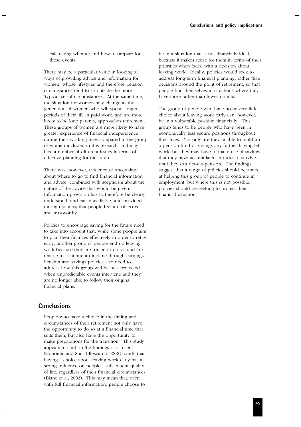calculating whether and how to prepare for these events.

There may be a particular value in looking at ways of providing advice and information for women, whose lifestyles and therefore pension circumstances tend to sit outside the more 'typical' set of circumstances. At the same time, the situation for women may change as the generation of women who will spend longer periods of their life in paid work, and are more likely to be lone parents, approaches retirement. These groups of women are more likely to have greater experience of financial independence during their working lives compared to the group of women included in this research, and may face a number of different issues in terms of effective planning for the future.

There was, however, evidence of uncertainty about where to go to find financial information and advice, combined with scepticism about the nature of the advice that would be given. Information provision has to therefore be clearly understood, and easily available, and provided through sources that people feel are objective and trustworthy.

Policies to encourage saving for the future need to take into account that, while some people aim to plan their finances effectively in order to retire early, another group of people end up leaving work because they are forced to do so, and are unable to continue an income through earnings. Pension and savings policies also need to address how this group will be best protected when unpredictable events intervene and they are no longer able to follow their original financial plans.

# **Conclusions**

People who have a choice in the timing and circumstances of their retirement not only have the opportunity to do so at a financial time that suits them, but also have the opportunity to make preparations for the transition. This study appears to confirm the findings of a recent Economic and Social Research (ESRC) study that having a choice about leaving work early has a strong influence on people's subsequent quality of life, regardless of their financial circumstances (Blane et al, 2002). This may mean that, even with full financial information, people choose to

be in a situation that is not financially ideal, because it makes sense for them in terms of their priorities when faced with a decision about leaving work. Ideally, policies would seek to address long-term financial planning, rather than decisions around the point of retirement, so that people find themselves in situations where they have more rather than fewer options.

The group of people who have no or very little choice about leaving work early can, however, be in a vulnerable position financially. This group tends to be people who have been in economically less secure positions throughout their lives. Not only are they unable to build up a pension fund or savings any further having left work, but they may have to make use of savings that they have accumulated in order to survive until they can draw a pension. The findings suggest that a range of policies should be aimed at helping this group of people to continue in employment, but where this is not possible, policies should be seeking to protect their financial situation.